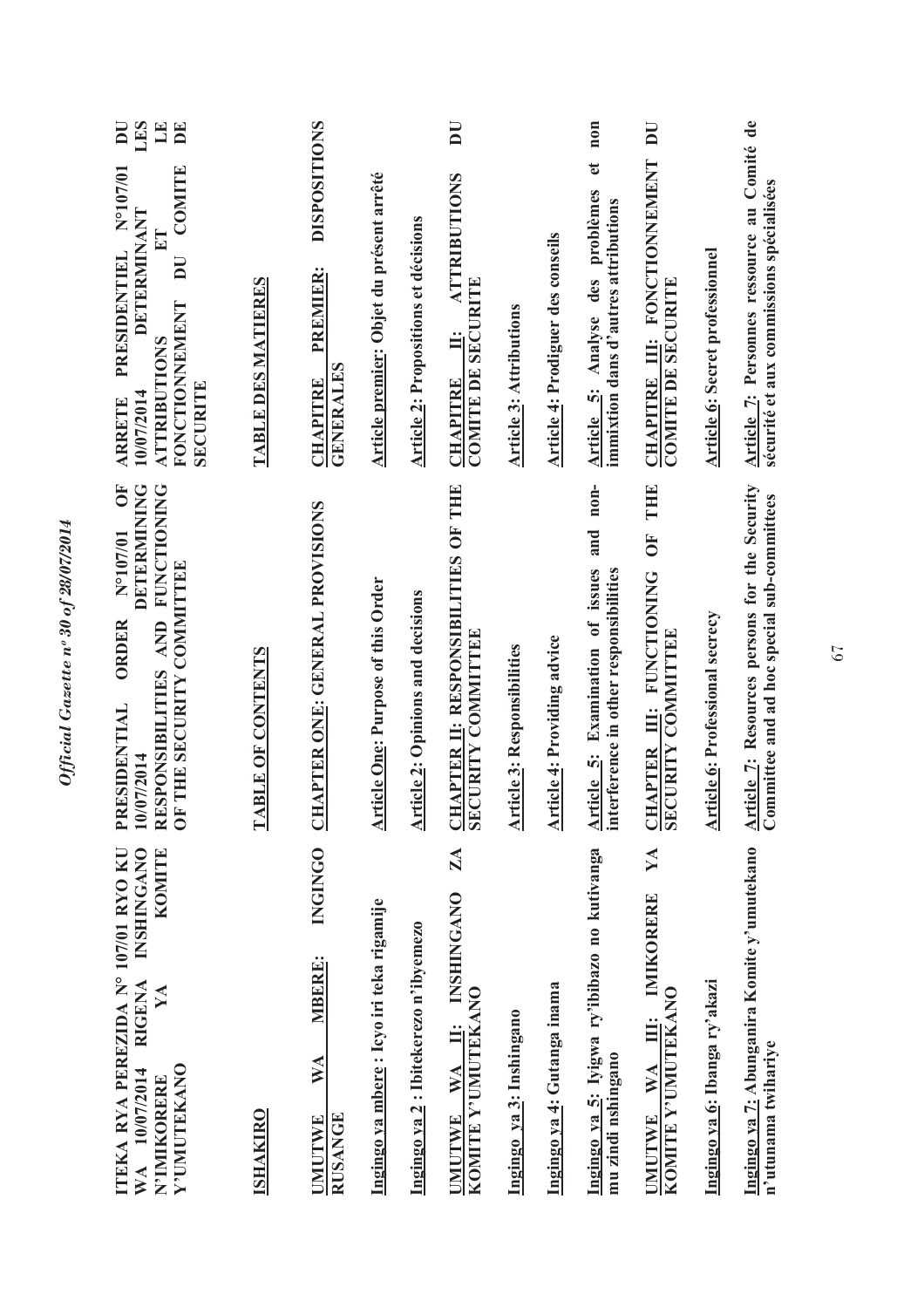| <b>INSHINGANO</b><br>KOMITE<br>ITEKA RYA PEREZIDA N° 107/01 RYO KU<br><b>RIGENA</b><br>YA<br>Y'UMUTEKANO<br>10/07/2014<br>N'IMIKORERE<br>$\mathbb{X}^{\mathbf{A}}$ | DETERMINING<br><b>FUNCTIONING</b><br>$\overline{O}$<br>N°107/01<br>OF THE SECURITY COMMITTEE<br>RESPONSIBILITIES AND<br><b>ORDER</b><br>PRESIDENTIAL<br>10/07/2014 | LES<br>$\mathbb{H}$<br>BE<br>$\overline{\mathbf{D}}$<br><b>COMITE</b><br>N°107/01<br>DETERMINANT<br>PRESIDENTIEL<br>$\overline{\mathbf{D}}$<br><b>FONCTIONNEMENT</b><br><b>ATTRIBUTIONS</b><br>SECURITE<br>10/07/2014<br><b>ARRETE</b> |
|--------------------------------------------------------------------------------------------------------------------------------------------------------------------|--------------------------------------------------------------------------------------------------------------------------------------------------------------------|----------------------------------------------------------------------------------------------------------------------------------------------------------------------------------------------------------------------------------------|
| <b>ISHAKIRO</b>                                                                                                                                                    | <b>TABLE OF CONTENTS</b>                                                                                                                                           | <u>TABLE DES MATIERES</u>                                                                                                                                                                                                              |
| <b>INGINGO</b><br><b>MBERE:</b><br>WA<br><b>RUSANGE</b><br><b>UMUTWE</b>                                                                                           | CHAPTER ONE: GENERAL PROVISIONS                                                                                                                                    | <b>DISPOSITIONS</b><br>PREMIER:<br><b>GENERALES</b><br><b>CHAPITRE</b>                                                                                                                                                                 |
| Ingingo ya mbere: Icyo iri teka rigamije                                                                                                                           | <b>Article One: Purpose of this Order</b>                                                                                                                          | Article premier: Objet du présent arrêté                                                                                                                                                                                               |
| Ingingo ya 2: Ibitekerezo n'ibyemezo                                                                                                                               | <b>Article 2: Opinions and decisions</b>                                                                                                                           | <b>Article 2: Propositions et décisions</b>                                                                                                                                                                                            |
| ZA<br><b>INSHINGANO</b><br>KOMITE Y'UMUTEKANO<br>UMUTWE WA II:                                                                                                     | <b>CHAPTER II: RESPONSIBILITIES OF THE SECURITY COMMITTEE</b>                                                                                                      | $\overline{\mathbf{D}}$<br><b>ATTRIBUTIONS</b><br><b>COMITE DE SECURITE</b><br>CHAPITRE II:                                                                                                                                            |
| Ingingo ya 3: Inshingano                                                                                                                                           | <b>Article 3: Responsibilities</b>                                                                                                                                 | <b>Article 3: Attributions</b>                                                                                                                                                                                                         |
| Ingingo ya 4: Gutanga inama                                                                                                                                        | <b>Article 4: Providing advice</b>                                                                                                                                 | <b>Article 4: Prodiguer des conseils</b>                                                                                                                                                                                               |
| Ingingo ya 5: Iyigwa ry'ibibazo no kutivanga<br>mu zindi nshingano                                                                                                 | $n$ on-<br>and<br>Article 5: Examination of issues<br>interference in other responsibilities                                                                       | non<br>$\mathbf{e}$<br>Article 5: Analyse des problèmes<br>immixtion dans d'autres attributions                                                                                                                                        |
| YA<br>IMIKORERE<br>KOMITE Y'UMUTEKANO<br>Ë<br><b>WA</b><br><b>UMUTWE</b>                                                                                           | THE<br>$\overline{\mathbf{C}}$<br><b>CHAPTER III: FUNCTIONING</b><br>SECURITY COMMITTEE                                                                            | $\overline{\mathbf{D}}$<br>CHAPITRE III: FONCTIONNEMENT<br><b>COMITE DE SECURITE</b>                                                                                                                                                   |
| Ingingo ya 6: Ibanga ry'akazi                                                                                                                                      | <b>Article 6: Professional secrecy</b>                                                                                                                             | <b>Article 6: Secret professionnel</b>                                                                                                                                                                                                 |
| Ingingo ya 7: Abunganira Komite y'umutekano<br>n'utunama twihariye                                                                                                 | Article 7: Resources persons for the Security<br>Committee and ad hoc special sub-committees                                                                       | Article 7: Personnes ressource au Comité de<br>sécurité et aux commissions spécialisées                                                                                                                                                |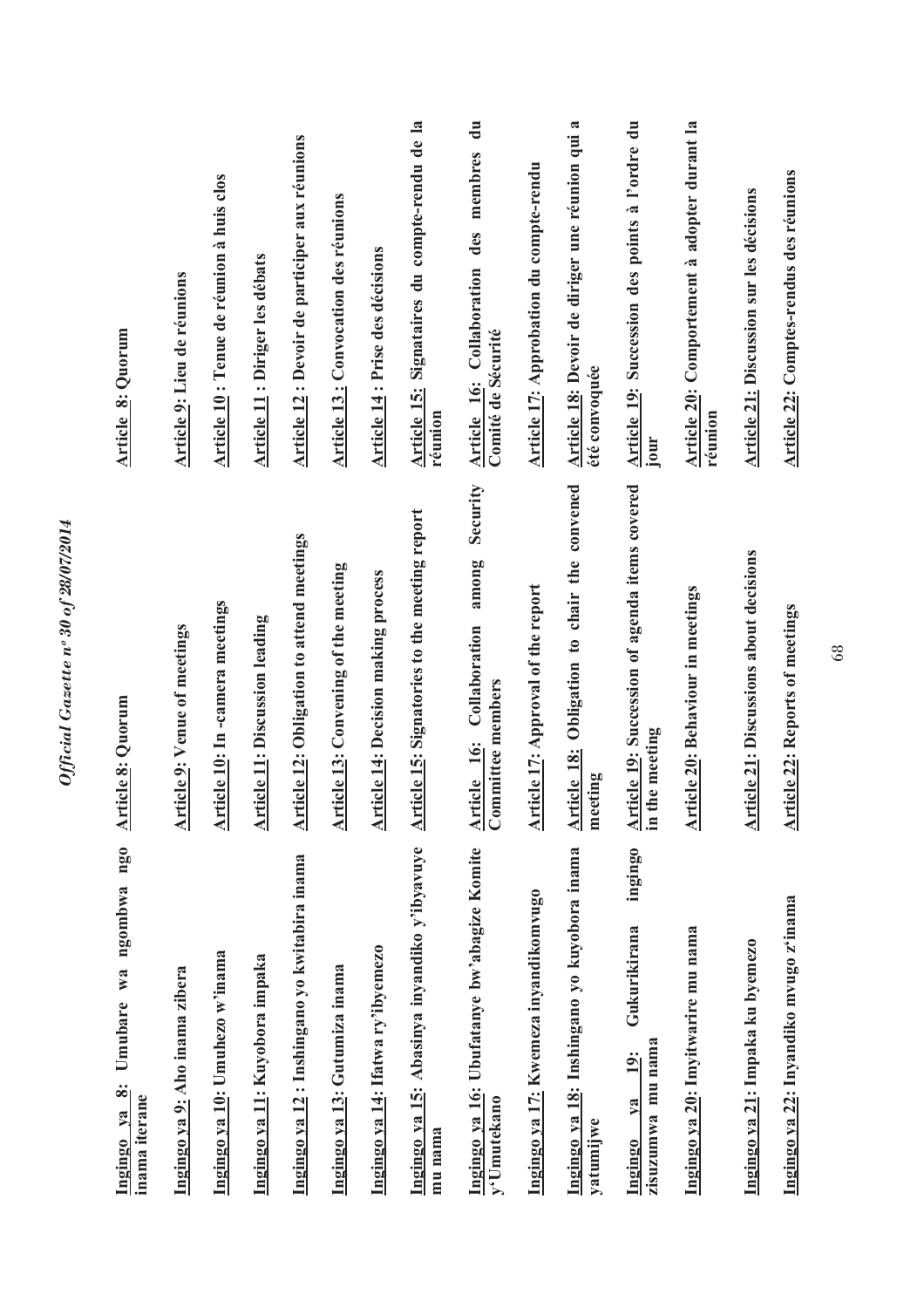| $ng_0$<br>ngombwa<br>Umubare wa<br>Ingingo ya 8:<br>inama iterane        | rticle 8: Quorum<br>₹                                                  | Article 8: Quorum                                                           |
|--------------------------------------------------------------------------|------------------------------------------------------------------------|-----------------------------------------------------------------------------|
| Ingingo ya 9: Aho inama zibera                                           | <b>Article 9: Venue of meetings</b>                                    | Article 9: Lieu de réunions                                                 |
| Ingingo ya 10: Umuhezo w'inama                                           | Article 10: In-camera meetings                                         | Article 10 : Tenue de réunion à huis clos                                   |
| Ingingo ya 11: Kuyobora impaka                                           | <b>Article 11: Discussion leading</b>                                  | Article 11 : Diriger les débats                                             |
| Ingingo ya 12: Inshingano yo kwitabira inama                             | <b>Article 12: Obligation to attend meetings</b>                       | Article 12 : Devoir de participer aux réunions                              |
| Ingingo ya 13: Gutumiza inama                                            | <b>Article 13: Convening of the meeting</b>                            | <b>Article 13: Convocation des réunions</b>                                 |
| Ingingo ya 14: Ifatwa ry'ibyemezo                                        | Article 14: Decision making process                                    | Article 14 : Prise des décisions                                            |
| Ingingo ya 15: Abasinya inyandiko y'ibyavuye<br>mu nama                  | <b>Article 15: Signatories to the meeting report</b>                   | Article 15: Signataires du compte-rendu de la<br>réunion                    |
| Ingingo ya 16: Ubufatanye bw'abagize Komite<br>y'Umutekano               | Security<br>among<br>Article 16: Collaboration<br>Committee members    | $\mathbf{u}$<br>Article 16: Collaboration des membres<br>Comité de Sécurité |
| Ingingo ya 17: Kwemeza inyandikomvugo                                    | Article 17: Approval of the report                                     | Article 17: Approbation du compte-rendu                                     |
| Ingingo ya 18: Inshingano yo kuyobora inama<br>yatumijwe                 | Obligation to chair the convened<br>Article 18:<br>meeting             | Article 18: Devoir de diriger une réunion qui a<br>été convoquée            |
| ingingo<br>Gukurikirana<br>zisuzumwa mu nama<br>$19$ :<br>$1$<br>Ingingo | Article 19: Succession of agenda items covered<br>the meeting<br>$\Xi$ | Article 19: Succession des points à l'ordre du<br><b>Jour</b>               |
| Ingingo ya 20: Imyitwarire mu nama                                       | <b>Article 20: Behaviour in meetings</b>                               | Article 20: Comportement à adopter durant la<br>reunion                     |
| Ingingo ya 21: Impaka ku byemezo                                         | <b>Article 21: Discussions about decisions</b>                         | Article 21: Discussion sur les décisions                                    |
| Ingingo ya 22: Inyandiko mvugo z'inama                                   | <b>Article 22: Reports of meetings</b>                                 | Article 22: Comptes-rendus des réunions                                     |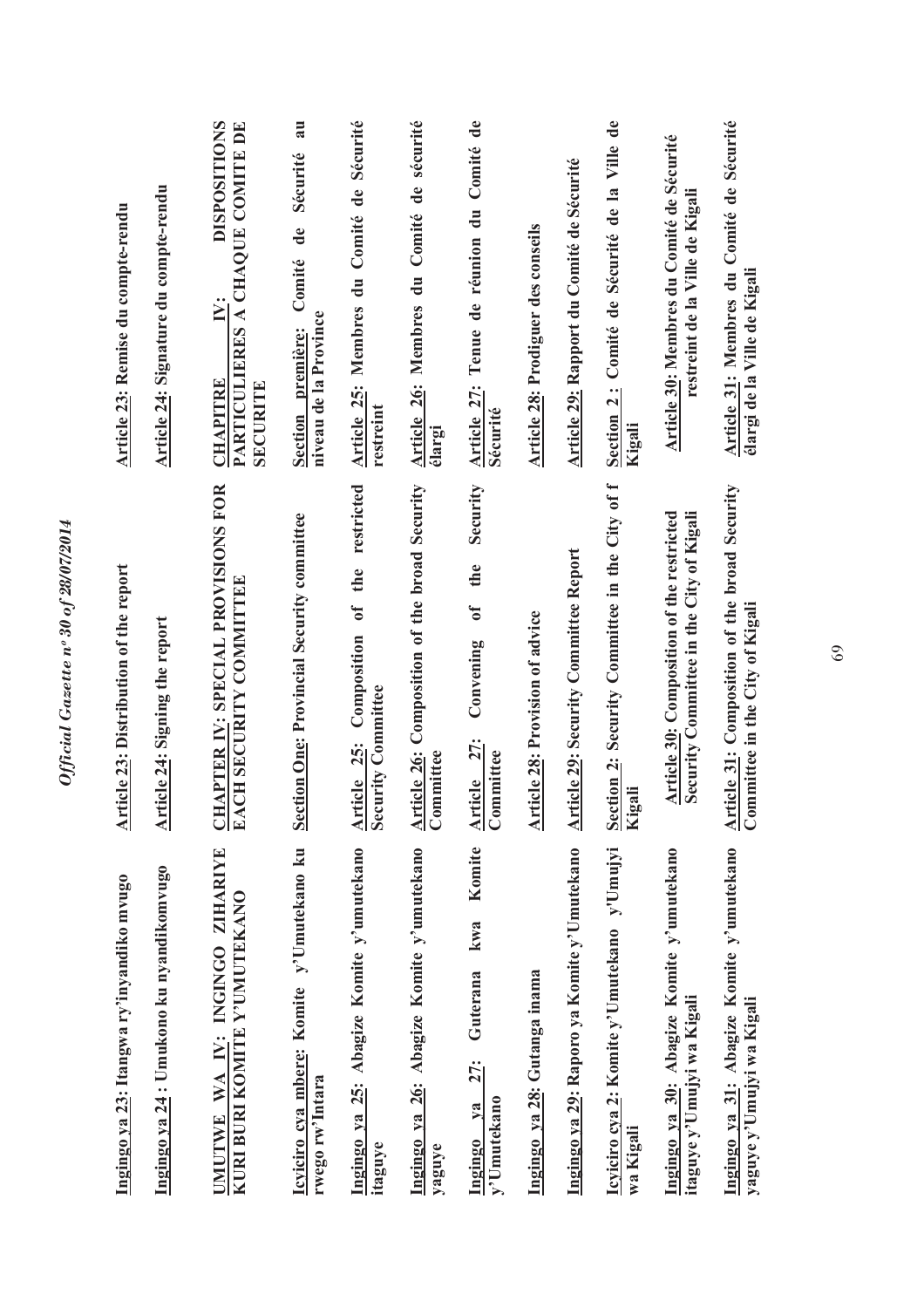| Ingingo ya 24 : Umukono ku nyandikomvugo<br>Ingingo ya 23: Itangwa ry'inyandiko mvugo | <b>Article 23: Distribution of the report</b><br>Article 24: Signing the report              | Article 24: Signature du compte-rendu<br>Article 23: Remise du compte-rendu                         |
|---------------------------------------------------------------------------------------|----------------------------------------------------------------------------------------------|-----------------------------------------------------------------------------------------------------|
| UMUTWE WA IV: INGINGO ZIHARIYE<br>KURI BURI KOMITE Y'UMUTEKANO                        | <u>CHAPTER IV</u> : SPECIAL PROVISIONS FOR<br>EACH SECURITY COMMITTEE                        | <b>DISPOSITIONS</b><br>PARTICULIERES A CHAQUE COMITE DE<br>Ë.<br><b>CHAPITRE</b><br><b>SECURITE</b> |
| Icyiciro cya mbere: Komite y'Umutekano ku<br>rwego rw'Intara                          | <b>Section One: Provincial Security committee</b>                                            | Comité de Sécurité au<br>niveau de la Province<br>Section première:                                 |
| Ingingo ya 25: Abagize Komite y'umutekano<br>itaguye                                  | restricted<br>of the<br>Article 25: Composition<br>Security Committee<br>curity Committee    | Article 25: Membres du Comité de Sécurité<br>restreint                                              |
| Ingingo ya 26: Abagize Komite y'umutekano<br>yaguye                                   | <b>Article 26: Composition of the broad Security</b><br>Committee                            | Membres du Comité de sécurité<br>Article 26:<br>élargi                                              |
| Komite<br>kwa<br>Guterana<br>27:<br>y'Umutekano<br>$va$<br>Ingingo                    | Security<br>the<br>$\mathfrak{h}$<br>Convening<br>Article 27:<br>Committee                   | Tenue de réunion du Comité de<br>Article 27:<br>Sécurité                                            |
| Ingingo ya 28: Gutanga inama                                                          | Article 28: Provision of advice                                                              | <b>Article 28: Prodiguer des conseils</b>                                                           |
| Ingingo ya 29: Raporo ya Komite y'Umutekano                                           | <b>Article 29: Security Committee Report</b>                                                 | Article 29: Rapport du Comité de Sécurité                                                           |
| Icyiciro cya 2: Komite y'Umutekano y'Umujyi<br>wa Kigali                              | Section 2: Security Committee in the City of f<br>Kigali<br>igali                            | Section 2: Comité de Sécurité de la Ville de<br>Kigali                                              |
| Ingingo ya 30: Abagize Komite y'umutekano<br>itaguye y'Umujyi wa Kigali               | Security Committee in the City of Kigali<br><b>Article 30: Composition of the restricted</b> | Article 30: Membres du Comité de Sécurité<br>restreint de la Ville de Kigali                        |
| Ingingo ya 31: Abagize Komite y'umutekano<br>yaguye y'Umujyi wa Kigali                | <b>Article 31:</b> Composition of the broad Security<br>Committee in the City of Kigali      | Article 31: Membres du Comité de Sécurité<br>élargi de la Ville de Kigali                           |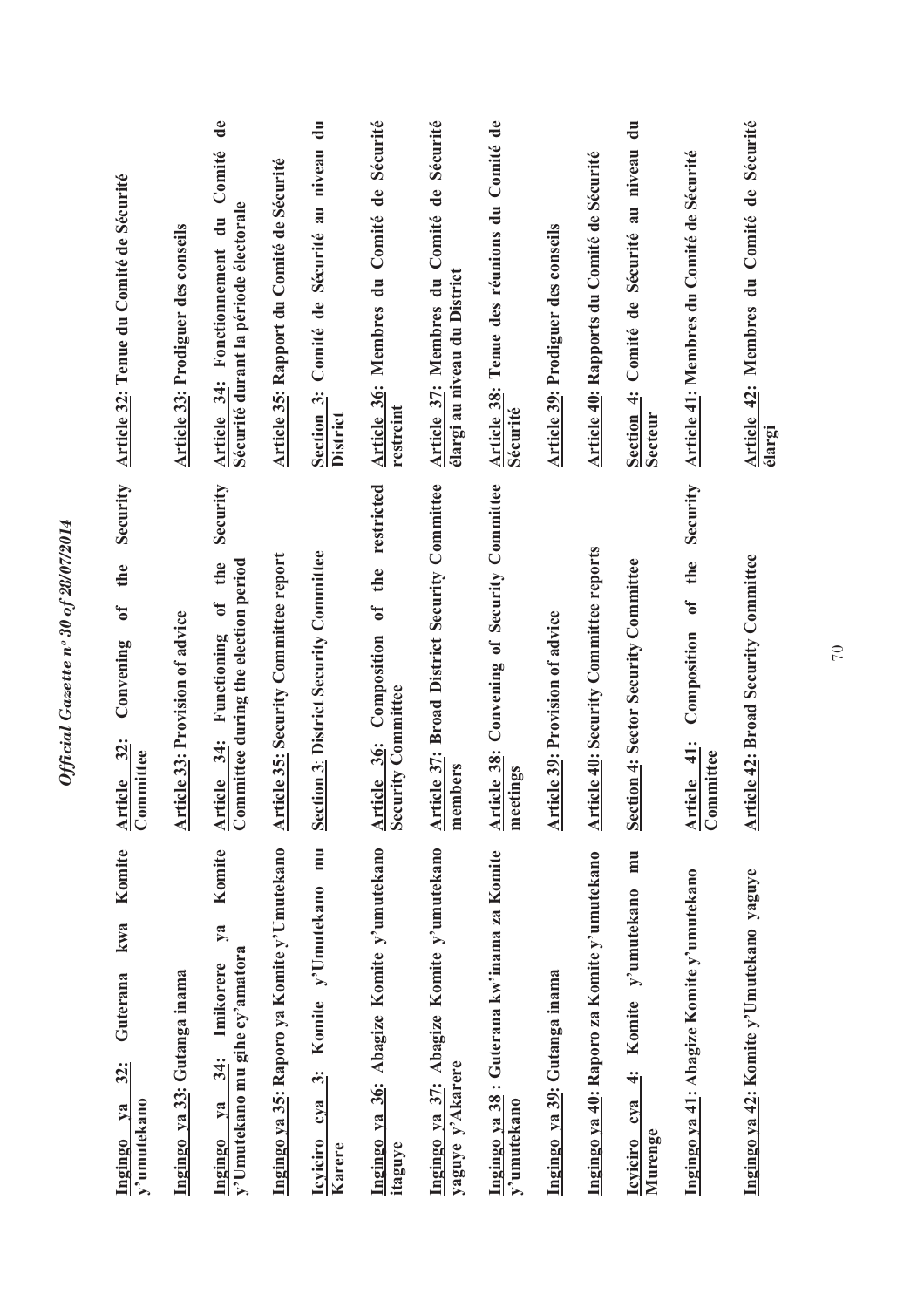| Komite<br>kwa<br>Guterana<br>32:<br>y'umutekano<br>$1$<br>Ingingo                       | Security<br>the<br>$\mathbf{0}$<br>Convening<br>Article 32:<br>Committee              | Article 32: Tenue du Comité de Sécurité                                                |
|-----------------------------------------------------------------------------------------|---------------------------------------------------------------------------------------|----------------------------------------------------------------------------------------|
| Ingingo ya 33: Gutanga inama                                                            | <b>Article 33: Provision of advice</b>                                                | <b>Article 33: Prodiguer des conseils</b>                                              |
| Komite<br>$y$ a<br>y'Umutekano mu gihe cy'amatora<br>Imikorere<br>34:<br>$1$<br>Ingingo | Security<br>$\frac{\text{Article } 34}{\text{ Committee during the election period}}$ | de<br>Comité<br>Sécurité durant la période électorale<br>Article 34: Fonctionnement du |
| Ingingo ya 35: Raporo ya Komite y'Umutekano                                             | <b>Article 35: Security Committee report</b>                                          | Article 35: Rapport du Comité de Sécurité                                              |
| mu<br>Komite y'Umutekano<br>$\ddot{\bm{c}}$<br>cya<br><b>Icviciro</b><br>Karere         | <b>Section 3: District Security Committee</b>                                         | Section 3: Comité de Sécurité au niveau du<br>District                                 |
| Ingingo ya 36: Abagize Komite y'umutekano<br>itaguye                                    | Article 36: Composition of the restricted<br>Security Committee                       | Article 36: Membres du Comité de Sécurité<br>restreint                                 |
| Ingingo ya 37: Abagize Komite y'umutekano<br>yaguye y'Akarere                           | <b>Article 37: Broad District Security Committee</b><br>members                       | Article 37: Membres du Comité de Sécurité<br>élargi au niveau du District              |
| Ingingo ya 38 : Guterana kw'inama za Komite<br>y'umutekano                              | Convening of Security Committee<br>Article 38:<br>meetings                            | Article 38: Tenue des réunions du Comité de<br>Sécurité                                |
| Ingingo ya 39: Gutanga inama                                                            | <b>Article 39: Provision of advice</b>                                                | <b>Article 39: Prodiguer des conseils</b>                                              |
| Ingingo ya 40: Raporo za Komite y'umutekano                                             | <b>Article 40: Security Committee reports</b>                                         | Article 40: Rapports du Comité de Sécurité                                             |
| mu<br>Komite y'umutekano<br>$\ddot{+}$<br>Icviciro cya<br>Murenge                       | <b>Section 4: Sector Security Committee</b>                                           | Section 4: Comité de Sécurité au niveau du<br><b>Secteur</b>                           |
| Ingingo ya 41: Abagize Komite y'umutekano                                               | Security<br>the<br>$\overline{\mathbf{a}}$<br>Composition<br>Article 41:<br>Committee | Article 41: Membres du Comité de Sécurité                                              |
| Ingingo ya 42: Komite y'Umutekano yaguye                                                | <b>Article 42: Broad Security Committee</b>                                           | Article 42: Membres du Comité de Sécurité<br>élargi                                    |

Official Gazette nº 30 of 28/07/2014 *Official Gazette nᵒ 30 of 28/07/2014*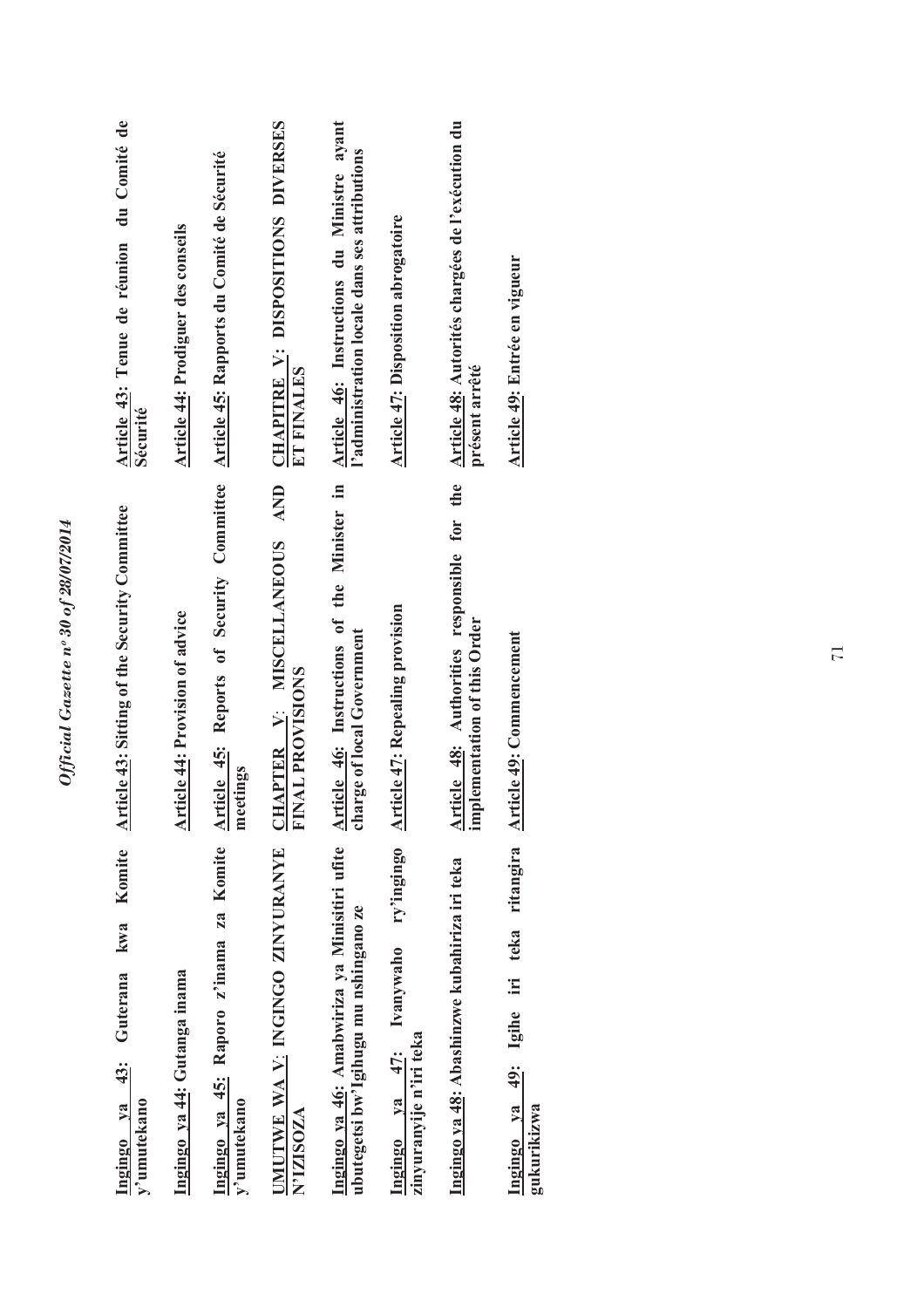| Article 43: Tenue de réunion du Comité de<br>Sécurité<br><b>Article 43: Sitting of the Security Committee</b> | <b>Article 44: Prodiguer des conseils</b> | Article 45: Reports of Security Committee Article 45: Rapports du Comité de Sécurité | CHAPITRE V: DISPOSITIONS DIVERSES<br>ET FINALES<br><b>AND</b><br>CHAPTER V: MISCELLANEOUS | Article 46: Instructions du Ministre ayant<br>l'administration locale dans ses attributions<br>Article 46: Instructions of the Minister in | Article 47: Disposition abrogatoire                               | Article 48: Autorités chargées de l'exécution du<br>présent arrêté<br>Article 48: Authorities responsible for the | Article 49: Entrée en vigueur                                |
|---------------------------------------------------------------------------------------------------------------|-------------------------------------------|--------------------------------------------------------------------------------------|-------------------------------------------------------------------------------------------|--------------------------------------------------------------------------------------------------------------------------------------------|-------------------------------------------------------------------|-------------------------------------------------------------------------------------------------------------------|--------------------------------------------------------------|
|                                                                                                               | Article 44: Provision of advice           | meetings                                                                             | FINAL PROVISIONS                                                                          | charge of local Government                                                                                                                 | <b>Article 47: Repealing provision</b>                            | implementation of this Order                                                                                      | <b>Article 49: Commencement</b>                              |
| Komite<br>kwa<br>Guterana<br>Ingingo ya 43:<br>y'umutekano                                                    | Ingingo ya 44: Gutanga inama              | Ingingo ya 45: Raporo z'inama za Komite<br>y'umutekano                               | UMUTWE WA V: INGINGO ZINYURANYE<br>N'IZISOZA                                              | Ingingo ya 46: Amabwiriza ya Minisitiri ufite<br>ubutegetsi bw'lgihugu mu nshingano ze                                                     | ry'ingingo<br>Ingingo ya 47: Ivanywaho<br>zinyuranyije n'iri teka | Ingingo ya 48: Abashinzwe kubahiriza iri teka                                                                     | Igihe iri teka ritangira<br>49:<br>Ingingo ya<br>gukurikizwa |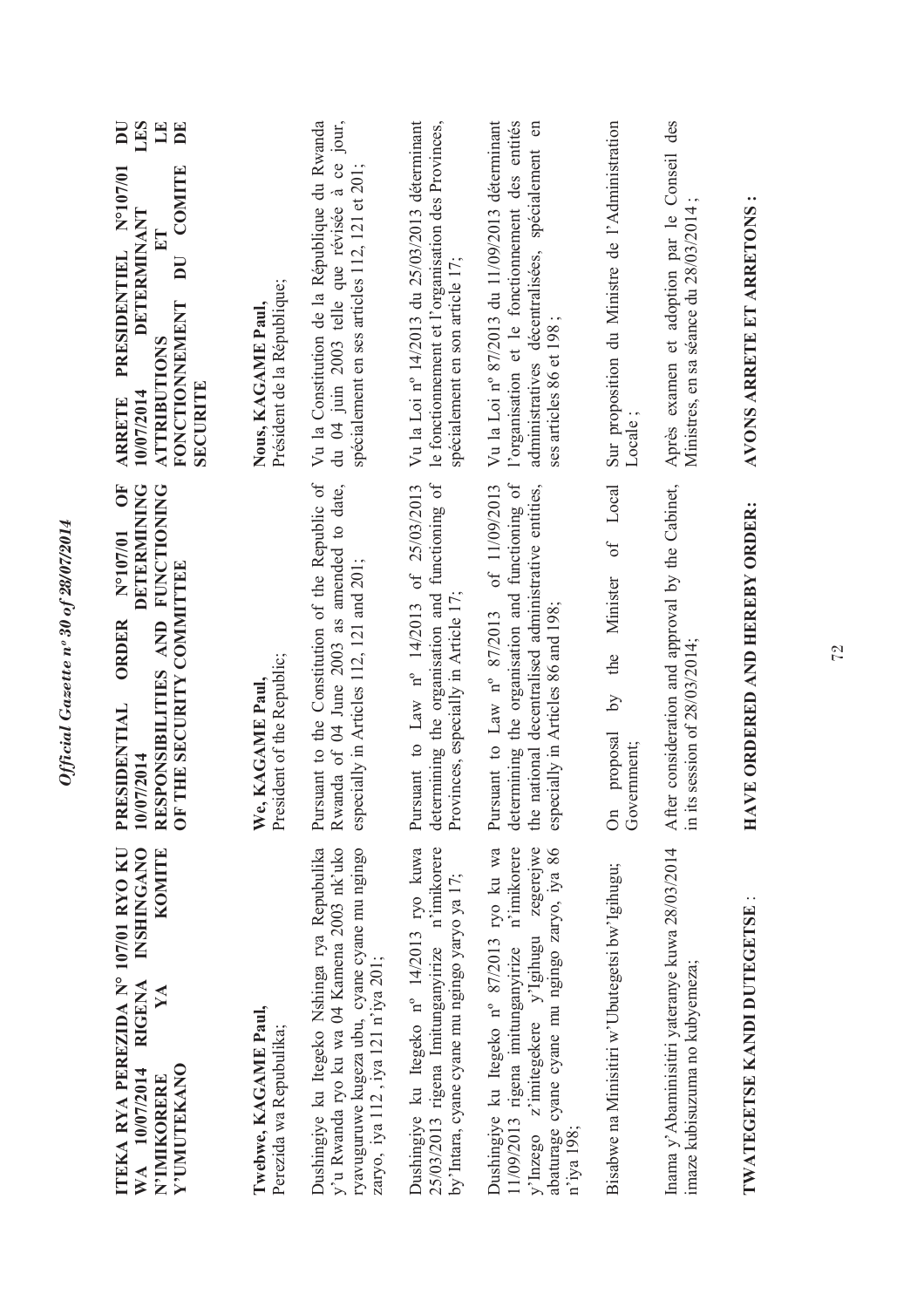| ITEKA RYA PEREZIDA Nº 107/01 RYO KU<br><b>INSHINGANO</b><br>KOMITE<br><b>RIGENA</b><br>YA<br>Y'UMUTEKANO<br>WA 10/07/2014<br>N'IMIKORERE                                                                    | <b>DETERMINING</b><br>ŌF<br><b>FUNCTIONING</b><br>N°107/01<br>F THE SECURITY COMMITTEE<br><b>AND</b><br><b>ORDER</b><br>RESPONSIBILITIES<br>PRESIDENTIAL<br>10/07/2014<br>$\overline{\circ}$ | LI<br>LES<br>$\overline{\mathbf{D}}$<br>$\mathbf{D}$ E<br>N°107/01<br>COMITE<br>DETERMINANT<br>PRESIDENTIEL<br>$\overline{\mathbf{D}}$<br><b>FONCTIONNEMENT</b><br>ATTRIBUTIONS<br><b>SECURITE</b><br>10/07/2014<br><b>ARRETE</b> |
|-------------------------------------------------------------------------------------------------------------------------------------------------------------------------------------------------------------|----------------------------------------------------------------------------------------------------------------------------------------------------------------------------------------------|-----------------------------------------------------------------------------------------------------------------------------------------------------------------------------------------------------------------------------------|
| Twebwe, KAGAME Paul,<br>Perezida wa Repubulika;                                                                                                                                                             | President of the Republic;<br>We, KAGAME Paul                                                                                                                                                | Président de la République;<br>Nous, KAGAME Paul,                                                                                                                                                                                 |
| y'u Rwanda ryo ku wa 04 Kamena 2003 nk'uko<br>Dushingiye ku Itegeko Nshinga rya Repubulika<br>ryavuguruwe kugeza ubu, cyane cyane mu ngingo<br>zaryo, iya 112, iya 121 n'iya 201;                           | Pursuant to the Constitution of the Republic of<br>Rwanda of 04 June 2003 as amended to date,<br>especially in Articles 112, 121 and 201;                                                    | Vu la Constitution de la République du Rwanda<br>du 04 juin 2003 telle que révisée à ce jour,<br>spécialement en ses articles 112, 121 et 201;                                                                                    |
| Dushingiye ku Itegeko nº 14/2013 ryo kuwa<br>25/03/2013 rigena Imitunganyirize n'imikorere<br>by'Intara, cyane cyane mu ngingo yaryo ya 17;                                                                 | determining the organisation and functioning of<br>Pursuant to Law n° 14/2013 of 25/03/2013<br>Provinces, especially in Article 17                                                           | Vu la Loi nº 14/2013 du 25/03/2013 déterminant<br>le fonctionnement et l'organisation des Provinces,<br>spécialement en son article 17;                                                                                           |
| Dushingiye ku Itegeko nº 87/2013 ryo ku wa<br>11/09/2013 rigena imitunganyirize n'imikorere<br>zegerejwe<br>abaturage cyane cyane mu ngingo zaryo, iya 86<br>y'Inzego z'imitegekere y'Igihugu<br>n'iya 198; | determining the organisation and functioning of<br>of 11/09/2013<br>the national decentralised administrative entities,<br>especially in Articles 86 and 198;<br>Pursuant to Law n° 87/2013  | Vu la Loi nº 87/2013 du 11/09/2013 déterminant<br>l'organisation et le fonctionnement des entités<br>administratives décentralisées, spécialement en<br>ses articles 86 et 198                                                    |
| Bisabwe na Minisitiri w'Ubutegetsi bw'Igihugu;                                                                                                                                                              | of Local<br>Minister<br>the<br>$\lambda$ q<br>proposal<br>Government;<br>$\delta$                                                                                                            | Sur proposition du Ministre de l'Administration<br>Locale;                                                                                                                                                                        |
| Inama y' Abaminisitiri yateranye kuwa 28/03/2014<br>imaze kubisuzuma no kubyemeza;                                                                                                                          | After consideration and approval by the Cabinet,<br>in its session of $28/03/2014$ ;                                                                                                         | Après examen et adoption par le Conseil des<br>Ministres, en sa séance du 28/03/2014                                                                                                                                              |
| <b>TWATEGETSE KANDI DUTEGETSE</b>                                                                                                                                                                           | AVE ORDERED AND HEREBY ORDER:<br>耳                                                                                                                                                           | AVONS ARRETE ET ARRETONS                                                                                                                                                                                                          |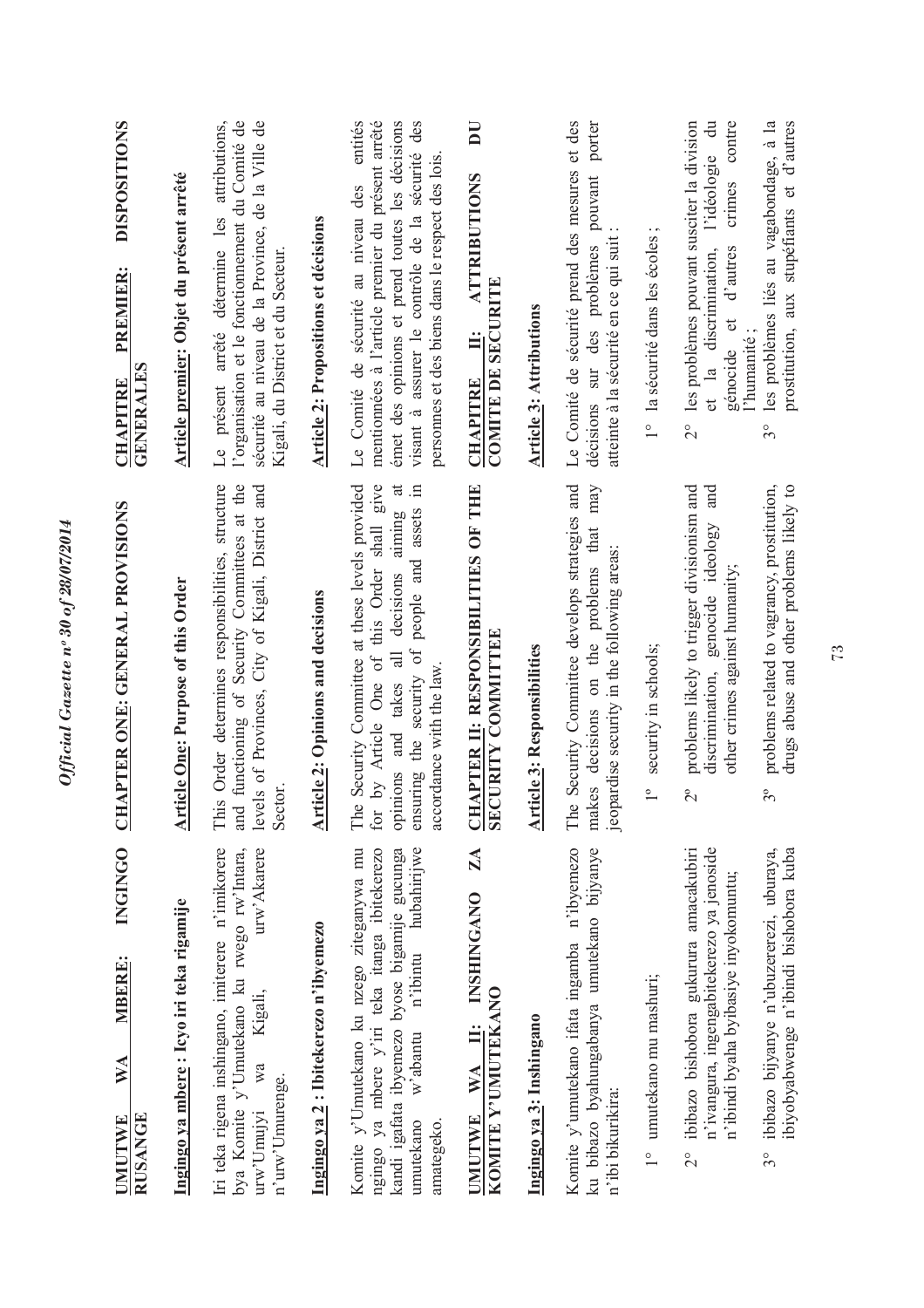| <b>DISPOSITIONS</b><br><b>PREMIER:</b><br><b>GENERALES</b><br><b>CHAPITRE</b>        | Article premier: Objet du présent arrêté  | l'organisation et le fonctionnement du Comité de<br>sécurité au niveau de la Province, de la Ville de<br>présent arrêté détermine les attributions,<br>Kigali, du District et du Secteur<br>$\overline{\mathbb{L}}$ | Article 2: Propositions et décisions     | mentionnées à l'article premier du présent arrêté<br>émet des opinions et prend toutes les décisions<br>visant à assurer le contrôle de la sécurité<br>personnes et des biens dans le respect des lois.<br>Le Comité de sécurité au niveau des<br>$\overline{a}$<br>$\Xi$<br>aiming | <b>ATTRIBUTIONS</b><br><b>COMITE DE SECURITE</b><br>Ë<br><b>CHAPITRE</b>              | <b>Article 3: Attributions</b>     | Le Comité de sécurité prend des mesures et des<br>pouvant porter<br>atteinte à la sécurité en ce qui suit<br>décisions sur des problèmes<br>may | $\cdot$ $\sim$<br>1° la sécurité dans les écoles | les problèmes pouvant susciter la division<br>l'idéologie<br>crimes<br>d'autres<br>et la discrimination,<br>génocide et<br>$\frac{1}{2}$<br>and | les problèmes liés au vagabondage, à la<br>prostitution, aux stupéfiants et d'autres<br>l'humanité;<br>$3^{\circ}$ |
|--------------------------------------------------------------------------------------|-------------------------------------------|---------------------------------------------------------------------------------------------------------------------------------------------------------------------------------------------------------------------|------------------------------------------|-------------------------------------------------------------------------------------------------------------------------------------------------------------------------------------------------------------------------------------------------------------------------------------|---------------------------------------------------------------------------------------|------------------------------------|-------------------------------------------------------------------------------------------------------------------------------------------------|--------------------------------------------------|-------------------------------------------------------------------------------------------------------------------------------------------------|--------------------------------------------------------------------------------------------------------------------|
| APTER ONE: GENERAL PROVISIONS<br><b>ED</b>                                           | <b>Article One: Purpose of this Order</b> | This Order determines responsibilities, structure<br>functioning of Security Committees at the<br>levels of Provinces, City of Kigali, District and<br>Sector.<br>and                                               | <b>Article 2: Opinions and decisions</b> | Security Committee at these levels provided<br>by Article One of this Order shall give<br>ensuring the security of people and assets<br>all decisions<br>accordance with the law.<br>opinions and takes<br>The<br>for                                                               | <b>CHAPTER II: RESPONSIBILITIES OF THE</b><br><b>SECURITY COMMITTEE</b>               | <b>Article 3: Responsibilities</b> | Security Committee develops strategies and<br>makes decisions on the problems that<br>jeopardise security in the following areas:<br>The        | security in schools;<br>$\overline{\phantom{0}}$ | problems likely to trigger divisionism and<br>genocide ideology<br>other crimes against humanity;<br>discrimination,<br>$\tilde{c}$             | problems related to vagrancy, prostitution,<br>drugs abuse and other problems likely to<br>$3^{\circ}$             |
| <b>INGINGO</b><br><b>MBERE:</b><br>$\mathbb{N}$ A<br><b>RUSANGE</b><br><b>UMUTWE</b> | Ingingo ya mbere: Icyo iri teka rigamije  | Iri teka rigena inshingano, imiterere n'imikorere<br>urw'Akarere<br>bya Komite y'Umutekano ku rwego rw'Intara,<br>Kigali,<br>wa<br>n'urw'Umurenge.<br>$uvw'$ Umuj $vi$                                              | Ingingo ya 2: Ibitekerezo n'ibyemezo     | Komite y'Umutekano ku nzego ziteganywa mu<br>hubahirijwe<br>ngingo ya mbere y'iri teka itanga ibitekerezo<br>kandi igafata ibyemezo byose bigamije gucunga<br>n'ibintu<br>w'abantu<br>amategeko.<br>umutekano                                                                       | $\mathbf{Z}$<br><b>INSHINGANO</b><br>KOMITE Y'UMUTEKANO<br>$\ddot{=}$<br>WA<br>UMUTWE | Ingingo ya 3: Inshingano           | Komite y'umutekano ifata ingamba n'ibyemezo<br>ku bibazo byahungabanya umutekano bijyanye<br>n'ibi bikurikira:                                  | 1° umutekano mu mashuri;                         | ibibazo bishobora gukurura amacakubiri<br>n'ivangura, ingengabitekerezo ya jenoside<br>n'ibindi byaha byibasiye inyokomuntu;<br>$\frac{1}{2}$   | ibibazo bijyanye n'ubuzererezi, uburaya,<br>ibiyobyabwenge n'ibindi bishobora kuba<br>$3^\circ$                    |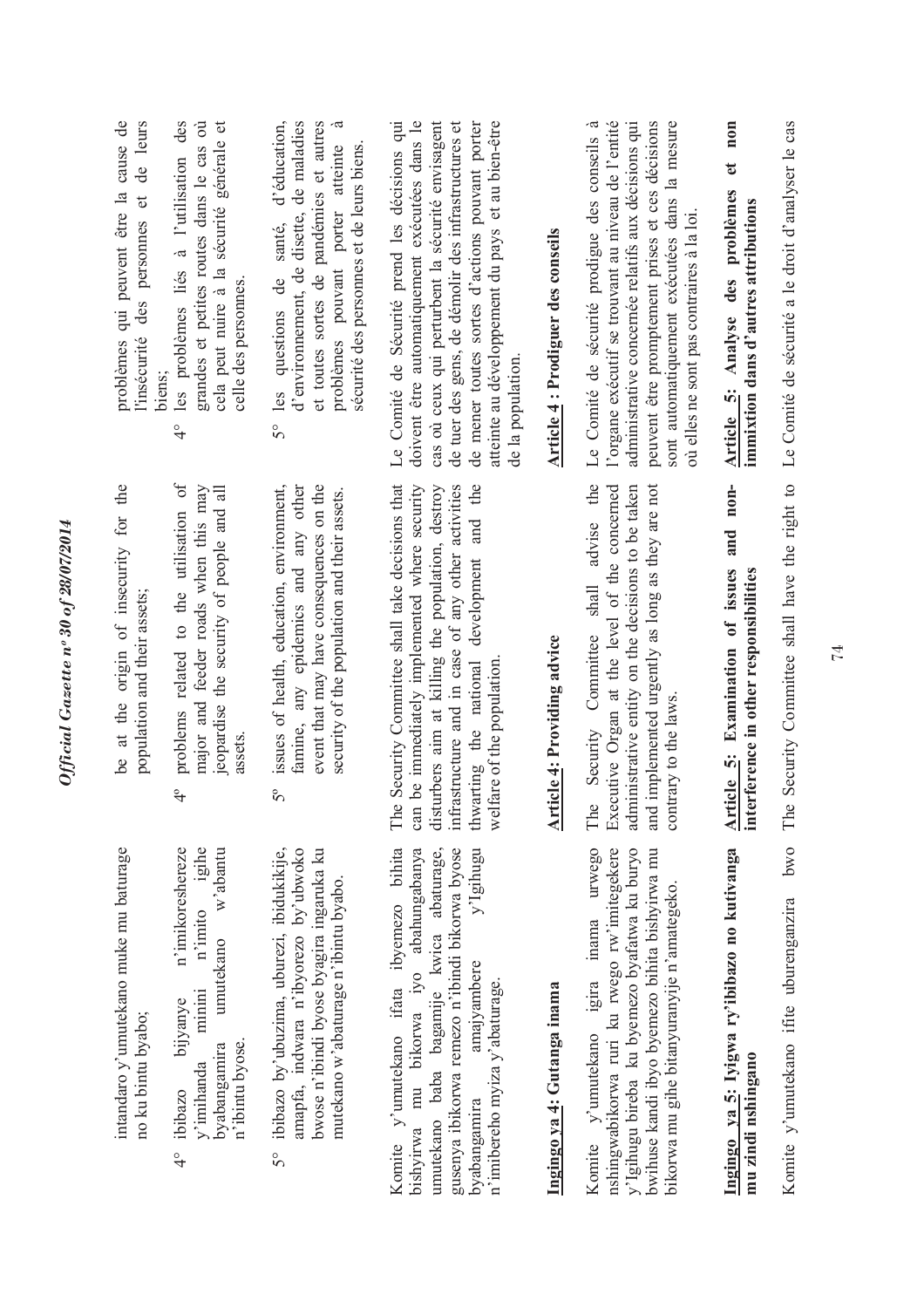| problèmes qui peuvent être la cause de<br>de leurs<br>l'insécurité des personnes et | cela peut nuire à la sécurité générale et<br>des<br>grandes et petites routes dans le cas où<br>les problèmes liés à l'utilisation<br>celle des personnes<br>biens;<br>$\frac{1}{4}$ | d'environnement, de disette, de maladies<br>à<br>d'éducation,<br>et toutes sortes de pandémies et autres<br>porter atteinte<br>sécurité des personnes et de leurs biens.<br>santé,<br>problèmes pouvant<br>ප්<br>les questions<br>50 | doivent être automatiquement exécutées dans le<br>Le Comité de Sécurité prend les décisions qui<br>cas ou ceux qui perturbent la sécurité envisagent<br>atteinte au développement du pays et au bien-être<br>de tuer des gens, de démolir des infrastructures et<br>de mener toutes sortes d'actions pouvant porter<br>de la population | Article 4 : Prodiguer des conseils | l'organe exécutif se trouvant au niveau de l'entité<br>administrative concernée relatifs aux décisions qui<br>sont automatiquement exécutées dans la mesure<br>-ದ<br>peuvent être promptement prises et ces décisions<br>Le Comité de sécurité prodigue des conseils<br>où elles ne sont pas contraires à la loi | non<br>đ<br>Article 5: Analyse des problèmes<br>immixtion dans d'autres attributions         | Le Comité de sécurité a le droit d'analyser le cas                |
|-------------------------------------------------------------------------------------|--------------------------------------------------------------------------------------------------------------------------------------------------------------------------------------|--------------------------------------------------------------------------------------------------------------------------------------------------------------------------------------------------------------------------------------|-----------------------------------------------------------------------------------------------------------------------------------------------------------------------------------------------------------------------------------------------------------------------------------------------------------------------------------------|------------------------------------|------------------------------------------------------------------------------------------------------------------------------------------------------------------------------------------------------------------------------------------------------------------------------------------------------------------|----------------------------------------------------------------------------------------------|-------------------------------------------------------------------|
| be at the origin of insecurity for the<br>population and their assets:              | problems related to the utilisation of<br>major and feeder roads when this may<br>jeopardise the security of people and all<br>assets<br>$\frac{1}{4}$                               | issues of health, education, environment,<br>event that may have consequences on the<br>famine, any epidemics and any other<br>security of the population and their assets.<br>$5^{\circ}$                                           | Security Committee shall take decisions that<br>infrastructure and in case of any other activities<br>and the<br>can be immediately implemented where security<br>disturbers aim at killing the population, destroy<br>development<br>thwarting the national<br>welfare of the population<br>$\circ$<br>É                               | <b>Article 4: Providing advice</b> | the<br>and implemented urgently as long as they are not<br>Executive Organ at the level of the concerned<br>administrative entity on the decisions to be taken<br>advise<br>shall<br>Security Committee<br>contrary to the laws.<br>The                                                                          | $n$ on-<br>and<br>Article 5: Examination of issues<br>interference in other responsibilities | Security Committee shall have the right to<br>$\ddot{\circ}$<br>Ê |
| intandaro y'umutekano muke mu baturage<br>no ku bintu byabo;                        | igihe<br>w'abantu<br>n'imikoreshereze<br>n'imito<br>umutekano<br>minini<br>bijyanye<br>n'ibintu byose.<br>byabangamira<br>y'imihanda<br>ibibazo<br>$\frac{1}{4}$                     | ibibazo by'ubuzima, uburezi, ibidukikije,<br>amapfa, indwara n'ibyorezo by'ubwoko<br>bwose n'ibindi byose byagira ingaruka ku<br>mutekano w'abaturage n'ibintu byabo.<br>50                                                          | Komite y'umutekano ifata ibyemezo bihita<br>bishyirwa mu bikorwa iyo abahungabanya<br>umutekano baba bagamije kwica abaturage,<br>gusenya ibikorwa remezo n'ibindi bikorwa byose<br>y'Igihugu<br>amajyambere<br>n'imibereho myiza y'abaturage.<br>byabangamira                                                                          | Ingingo ya 4: Gutanga inama        | urwego<br>nshingwabikorwa ruri ku rwego rw'imitegekere<br>y'lgihugu bireba ku byemezo byafatwa ku buryo<br>bwihuse kandi ibyo byemezo bihita bishyirwa mu<br>bikorwa mu gihe bitanyuranyije n'amategeko<br>Komite y'umutekano igira inama                                                                        | Ingingo ya 5: Iyigwa ry'ibibazo no kutivanga<br>mu zindi nshingano                           | bwo<br>Komite y'umutekano ifite uburenganzira                     |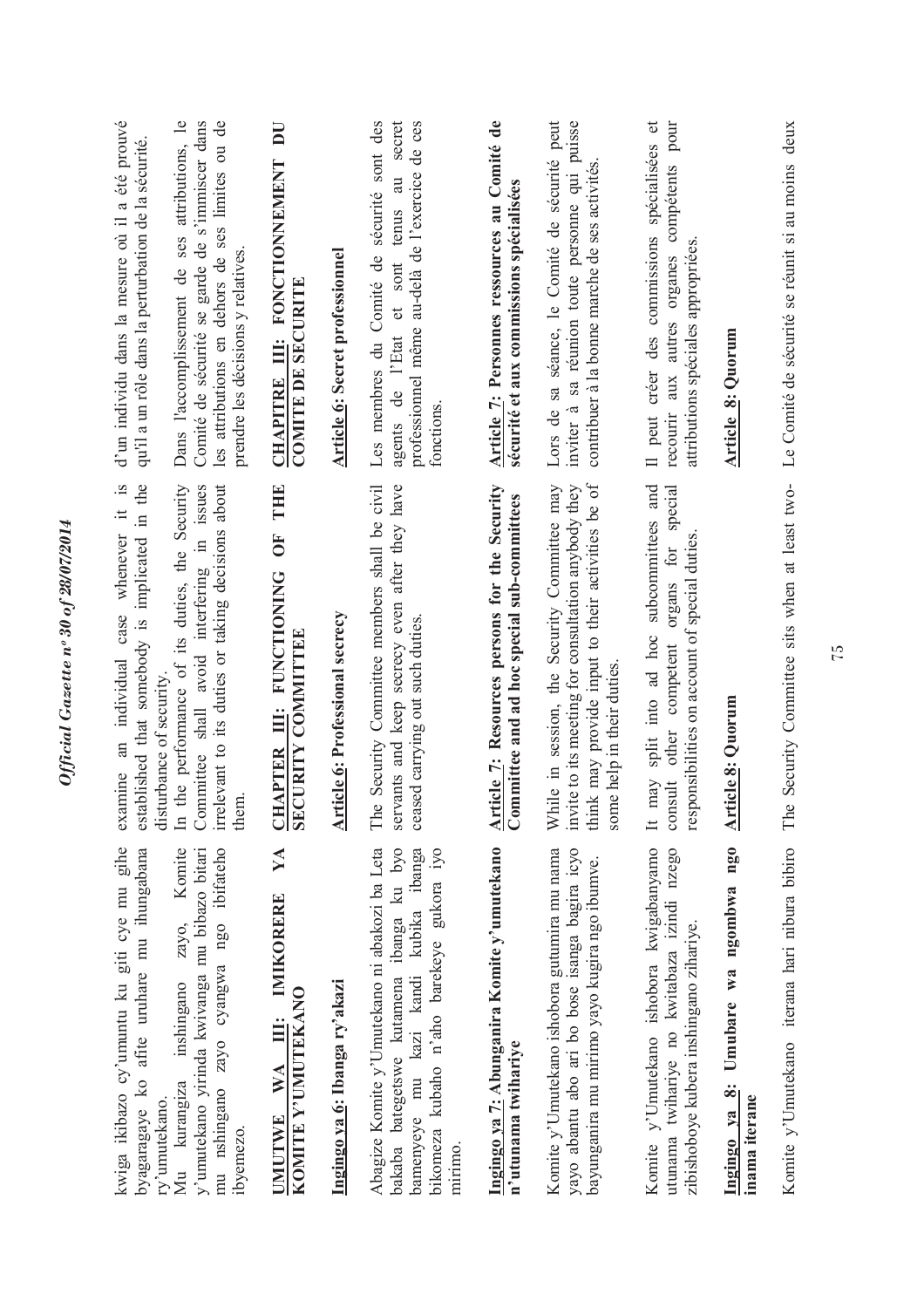| kwiga ikibazo cy'umuntu ku giti cye mu gihe<br>afite uruhare mu ihungabana<br>byagaragaye ko<br>ry'umutekano                                                                               | examine an individual case whenever it is<br>established that somebody is implicated in the<br>disturbance of security.                                                               | d'un individu dans la mesure où il a été prouvé<br>qu'il a un rôle dans la perturbation de la sécurité                                                                                    |
|--------------------------------------------------------------------------------------------------------------------------------------------------------------------------------------------|---------------------------------------------------------------------------------------------------------------------------------------------------------------------------------------|-------------------------------------------------------------------------------------------------------------------------------------------------------------------------------------------|
| Komite<br>y'umutekano yirinda kwivanga mu bibazo bitari<br>mu nshingano zayo cyangwa ngo ibifateho<br>zayo,<br>inshingano<br>Mu kurangiza<br>ibyemezo.                                     | In the performance of its duties, the Security<br>Committee shall avoid interfering in issues<br>irrelevant to its duties or taking decisions about<br>them.                          | les attributions en dehors de ses limites ou de<br>Dans l'accomplissement de ses attributions, le<br>Comité de sécurité se garde de s'immiscer dans<br>prendre les décisions y relatives. |
| YA<br>IMIKORERE<br>KOMITE Y'UMUTEKANO<br>Ë<br>WA<br><b>UMUTWE</b>                                                                                                                          | THE<br>OF<br>CHAPTER III: FUNCTIONING<br>SECURITY COMMITTEE                                                                                                                           | DU<br>CHAPITRE III: FONCTIONNEMENT<br><b>COMITE DE SECURITE</b>                                                                                                                           |
| Ingingo ya 6: Ibanga ry'akazi                                                                                                                                                              | <b>Article 6: Professional secrecy</b>                                                                                                                                                | Article 6: Secret professionnel                                                                                                                                                           |
| Abagize Komite y'Umutekano ni abakozi ba Leta<br>bakaba bategetswe kutamena ibanga ku byo<br>bikomeza kubaho n'aho barekeye gukora iyo<br>bamenyeye mu kazi kandi kubika ibanga<br>mirimo. | Security Committee members shall be civil<br>servants and keep secrecy even after they have<br>ceased carrying out such duties.<br>The                                                | Les membres du Comité de sécurité sont des<br>au secret<br>professionnel même au-delà de l'exercice de ces<br>agents de l'Etat et sont tenus<br>fonctions.                                |
| Ingingo ya 7: Abunganira Komite y'umutekano<br>n'utunama twihariye                                                                                                                         | <b>Article 7: Resources persons for the Security</b><br>Committee and ad hoc special sub-committees                                                                                   | Article 7: Personnes ressources au Comité de<br>sécurité et aux commissions spécialisées                                                                                                  |
| Komite y'Umutekano ishobora gutumira mu nama<br>yayo abantu abo ari bo bose isanga bagira icyo<br>bayunganira mu mirimo yayo kugira ngo ibumve.                                            | think may provide input to their activities be of<br>invite to its meeting for consultation anybody they<br>While in session, the Security Committee may<br>some help in their duties | Lors de sa séance, le Comité de sécurité peut<br>inviter à sa réunion toute personne qui puisse<br>contribuer à la bonne marche de ses activités                                          |
| Komite y'Umutekano ishobora kwigabanyamo<br>utunama twihariye no kwitabaza izindi nzego<br>zibishoboye kubera inshingano zihariye.                                                         | It may split into ad hoc subcommittees and<br>special<br>responsibilities on account of special duties<br>organs for<br>other competent<br>const                                      | compétents pour<br>$\sigma$<br>Il peut créer des commissions spécialisées<br>attributions spéciales appropriées<br>recourir aux autres organes                                            |
| Umubare wa ngombwa ngo<br>Ingingo ya 8:<br>inama iterane                                                                                                                                   | Article 8: Quorum                                                                                                                                                                     | <b>Article 8: Quorum</b>                                                                                                                                                                  |
|                                                                                                                                                                                            | Komite v'Umutekano iterana hari nibura bibiro The Security Committee sits when at least two- Le Comité de sécurité se réunit si au moins deux                                         |                                                                                                                                                                                           |

Official Gazette nº 30 of 28/07/2014

Komite y'Umutekano iterana hari nibura bibiro The Security Committee sits when at least two-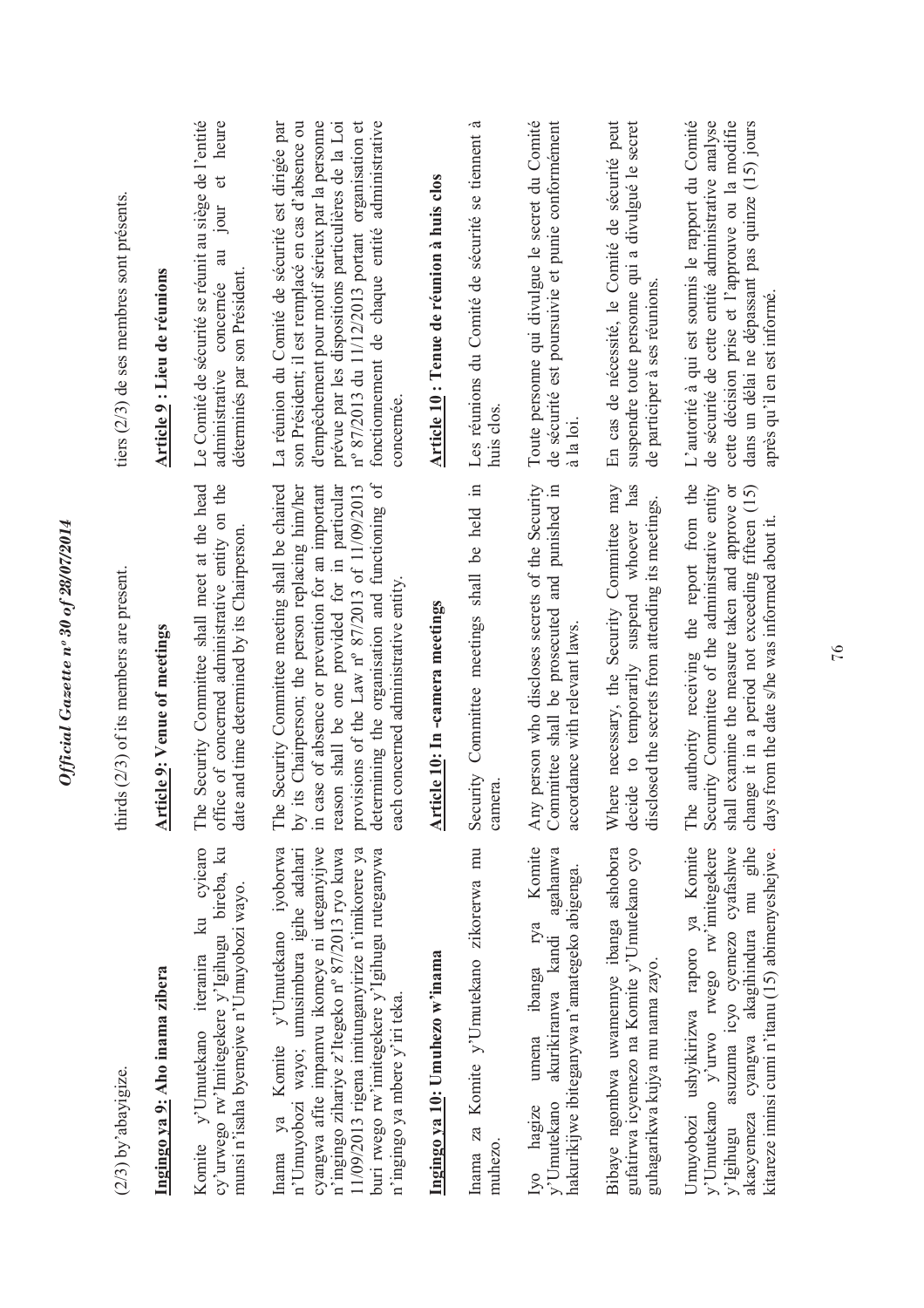| $(2/3)$ by abayigize.                                                                                                                                                                                                                                                                                                         | thirds $(2/3)$ of its members are present.                                                                                                                                                                                                                                                                                                                  | tiers $(2/3)$ de ses membres sont présents.                                                                                                                                                                                                                                                                                           |
|-------------------------------------------------------------------------------------------------------------------------------------------------------------------------------------------------------------------------------------------------------------------------------------------------------------------------------|-------------------------------------------------------------------------------------------------------------------------------------------------------------------------------------------------------------------------------------------------------------------------------------------------------------------------------------------------------------|---------------------------------------------------------------------------------------------------------------------------------------------------------------------------------------------------------------------------------------------------------------------------------------------------------------------------------------|
| Ingingo ya 9: Aho inama zibera                                                                                                                                                                                                                                                                                                | <b>Article 9: Venue of meetings</b>                                                                                                                                                                                                                                                                                                                         | Article 9 : Lieu de réunions                                                                                                                                                                                                                                                                                                          |
| ku cyicaro<br>cy'urwego rw'Imitegekere y'Igihugu bireba, ku<br>munsi n'isaha byemejwe n'Umuyobozi wayo.<br>Komite y'Umutekano iteranira                                                                                                                                                                                       | Security Committee shall meet at the head<br>office of concerned administrative entity on the<br>date and time determined by its Chairperson<br>The                                                                                                                                                                                                         | Le Comité de sécurité se réunit au siège de l'entité<br>heure<br>$\sigma$<br>Jour<br>$\overline{a}$<br>déterminés par son Président<br>concernée<br>administrative                                                                                                                                                                    |
| Inama ya Komite y'Umutekano iyoborwa<br>cyangwa afite impamvu ikomeye ni uteganyijwe<br>buri rwego rw'imitegekere y'lgihugu ruteganywa<br>n'Umuyobozi wayo; umusimbura igihe adahari<br>n'ingingo zihariye z'Itegeko nº 87/2013 ryo kuwa<br>1/09/2013 rigena imitunganyirize n'imikorere ya<br>n'ingingo ya mbere y'iri teka. | determining the organisation and functioning of<br>Security Committee meeting shall be chaired<br>in case of absence or prevention for an important<br>by its Chairperson; the person replacing him/her<br>reason shall be one provided for in particular<br>provisions of the Law n° 87/2013 of 11/09/2013<br>each concerned administrative entity.<br>The | son Président; il est remplacé en cas d'absence ou<br>d'empêchement pour motif sérieux par la personne<br>prévue par les dispositions particulières de la Loi<br>fonctionnement de chaque entité administrative<br>La réunion du Comité de sécurité est dirigée par<br>nº 87/2013 du 11/12/2013 portant organisation et<br>concernée. |
| Ingingo ya 10: Umuhezo w'inama                                                                                                                                                                                                                                                                                                | Article 10: In-camera meetings                                                                                                                                                                                                                                                                                                                              | Article 10 : Tenue de réunion à huis clos                                                                                                                                                                                                                                                                                             |
| Inama za Komite y'Umutekano zikorerwa mu<br>muhezo                                                                                                                                                                                                                                                                            | Security Committee meetings shall be held in<br>camera                                                                                                                                                                                                                                                                                                      | .ದ<br>Les réunions du Comité de sécurité se tiennent<br>huis clos                                                                                                                                                                                                                                                                     |
| Komite<br>akurikiranwa kandi agahanwa<br>hakurikijwe ibiteganywa n'amategeko abigenga.<br>umena ibanga rya<br>y'Umutekano<br>Ivo hagize                                                                                                                                                                                       | Any person who discloses secrets of the Security<br>Committee shall be prosecuted and punished in<br>accordance with relevant laws.                                                                                                                                                                                                                         | Toute personne qui divulgue le secret du Comité<br>de sécurité est poursuivie et punie conformément<br>à la loi                                                                                                                                                                                                                       |
| Bibaye ngombwa uwamennye ibanga ashobora<br>gufatirwa icyemezo na Komite y'Umutekano cyo<br>guhagarikwa kujya mu nama zayo.                                                                                                                                                                                                   | Where necessary, the Security Committee may<br>decide to temporarily suspend whoever has<br>disclosed the secrets from attending its meetings.                                                                                                                                                                                                              | En cas de nécessité, le Comité de sécurité peut<br>suspendre toute personne qui a divulgué le secret<br>de participer à ses réunions.                                                                                                                                                                                                 |
| Jmuyobozi ushyikirizwa raporo ya Komite<br>akacyemeza cyangwa akagihindura mu gihe<br>y'Umutekano y'urwo rwego rw'imitegekere<br>asuzuma icyo cyemezo cyafashwe<br>kitareze iminsi cumi n'itanu (15) abimenyeshejwe<br>y'Igihugu                                                                                              | authority receiving the report from the<br>Security Committee of the administrative entity<br>shall examine the measure taken and approve or<br>change it in a period not exceeding fifteen (15)<br>days from the date s/he was informed about it<br>The                                                                                                    | L'autorité à qui est soumis le rapport du Comité<br>cette décision prise et l'approuve ou la modifie<br>de sécurité de cette entité administrative analyse<br>dans un délai ne dépassant pas quinze (15) jours<br>après qu'il en est informé                                                                                          |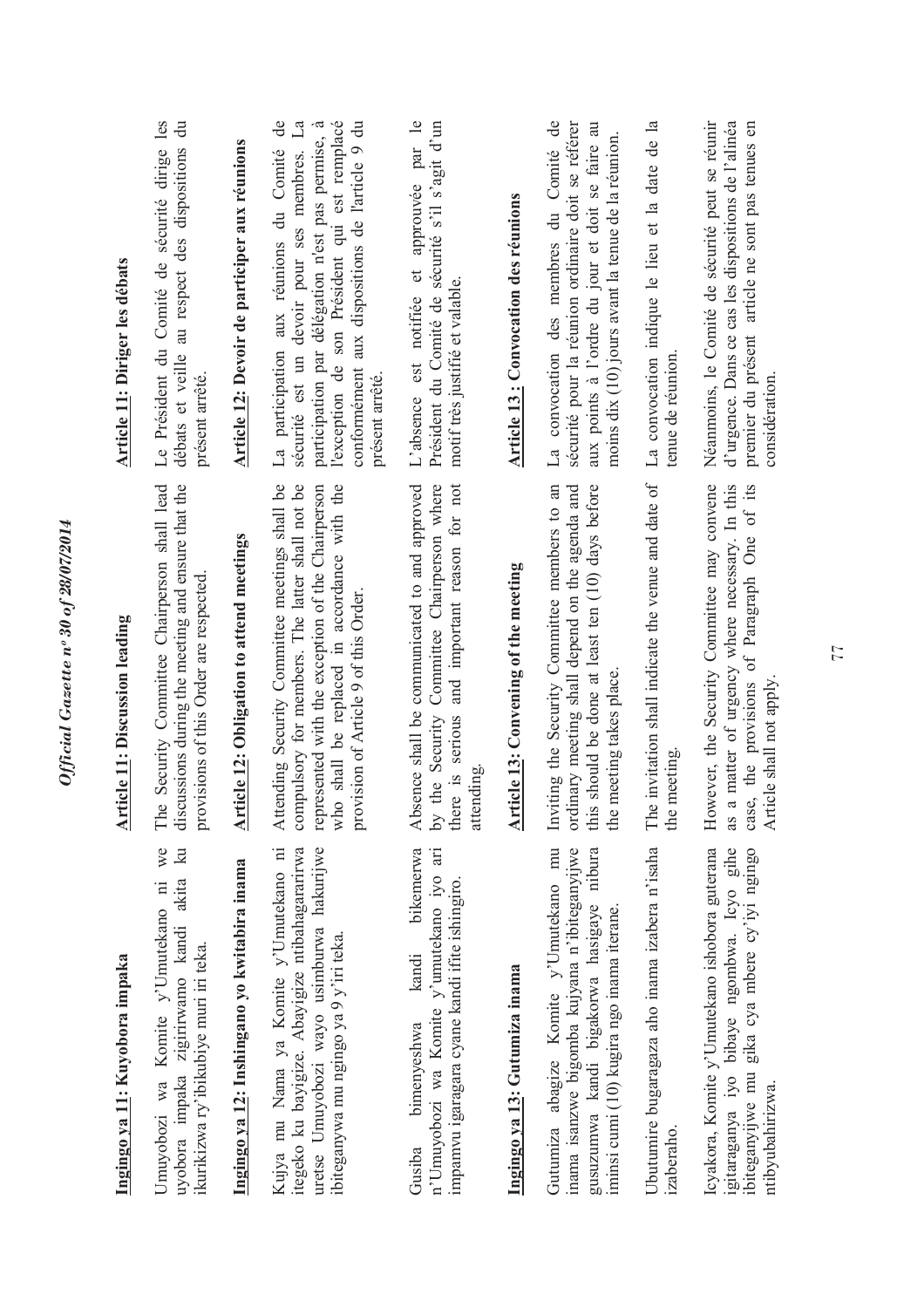| Ingingo ya 11: Kuyobora impaka                                                                                                                                                        | icle 11: Discussion leading<br>$\frac{1}{2}$                                                                                                                                                                                                       | <b>Article 11: Diriger les débats</b>                                                                                                                                                                                                                                              |
|---------------------------------------------------------------------------------------------------------------------------------------------------------------------------------------|----------------------------------------------------------------------------------------------------------------------------------------------------------------------------------------------------------------------------------------------------|------------------------------------------------------------------------------------------------------------------------------------------------------------------------------------------------------------------------------------------------------------------------------------|
| we<br>$\mathbb{R}$<br>uyobora impaka zigirirwamo kandi akita<br>Umuyobozi wa Komite y'Umutekano ni<br>ikurikizwa ry'ibikubiye muri iri teka.                                          | Security Committee Chairperson shall lead<br>discussions during the meeting and ensure that the<br>provisions of this Order are respected<br>The                                                                                                   | Le Président du Comité de sécurité dirige les<br>$\ddot{a}$<br>débats et veille au respect des dispositions<br>présent arrêté                                                                                                                                                      |
| Ingingo ya 12: Inshingano yo kwitabira inama                                                                                                                                          | icle 12: Obligation to attend meetings<br><u>Arti</u>                                                                                                                                                                                              | Article 12: Devoir de participer aux réunions                                                                                                                                                                                                                                      |
| Kujya mu Nama ya Komite y'Umutekano ni<br>itegeko ku bayigize. Abayigize ntibahagararirwa<br>uretse Umuyobozi wayo usimburwa hakurijwe<br>ibiteganywa mu ngingo ya 9 y'iri teka.      | Attending Security Committee meetings shall be<br>compulsory for members. The latter shall not be<br>shall be replaced in accordance with the<br>represented with the exception of the Chairperson<br>provision of Article 9 of this Order.<br>who | participation aux réunions du Comité de<br>sécurité est un devoir pour ses membres. La<br>l'exception de son Président qui est remplacé<br>conformément aux dispositions de l'article 9 du<br>participation par délégation n'est pas permise,<br>présent arrêté.<br>$\mathbb{L}^a$ |
| bikemerwa<br>$\overline{a}$<br>n'Umuyobozi wa Komite y'umutekano iyo<br>impamvu igaragara cyane kandi ifite ishingiro.<br>kandi<br>bimenyeshwa<br>Gusiba                              | Absence shall be communicated to and approved<br>and important reason for not<br>Committee Chairperson where<br>the Security<br>there is serious<br>attending<br>$\mathsf{b}$ $\mathsf{v}$                                                         | et approuvée par le<br>Président du Comité de sécurité s'il s'agit d'un<br>motif très justifié et valable.<br>L'absence est notifiée                                                                                                                                               |
| Ingingo ya 13: Gutumiza inama                                                                                                                                                         | <b>Article 13: Convening of the meeting</b>                                                                                                                                                                                                        | Article 13: Convocation des réunions                                                                                                                                                                                                                                               |
| mu<br>inama isanzwe bigomba kujyana n'ibiteganyijwe<br>gusuzumwa kandi bigakorwa hasigaye nibura<br>Gutumiza abagize Komite y'Umutekano<br>iminsi cumi (10) kugira ngo inama iterane. | should be done at least ten (10) days before<br>Inviting the Security Committee members to an<br>ordinary meeting shall depend on the agenda and<br>the meeting takes place<br>this                                                                | convocation des membres du Comité de<br>aux points à l'ordre du jour et doit se faire au<br>sécurité pour la réunion ordinaire doit se référer<br>moins dix (10) jours avant la tenue de la réunion.<br>$\mathbb{E}^a$                                                             |
| Ubutumire bugaragaza aho inama izabera n'isaha<br>izaberaho.                                                                                                                          | invitation shall indicate the venue and date of<br>the meeting<br>The                                                                                                                                                                              | La convocation indique le lieu et la date de la<br>tenue de réunion                                                                                                                                                                                                                |
| igitaraganya iyo bibaye ngombwa. Icyo gihe<br>Icyakora, Komite y'Umutekano ishobora guterana<br>gika cya mbere cy'iyi ngingo<br>ibiteganyijwe mu<br>ntibyubahirizwa.                  | However, the Security Committee may convene<br>matter of urgency where necessary. In this<br>of Paragraph One of its<br>case, the provisions<br>Article shall not apply<br>as a                                                                    | d'urgence. Dans ce cas les dispositions de l'alinéa<br>Néanmoins, le Comité de sécurité peut se réunir<br>premier du présent article ne sont pas tenues en<br>considération                                                                                                        |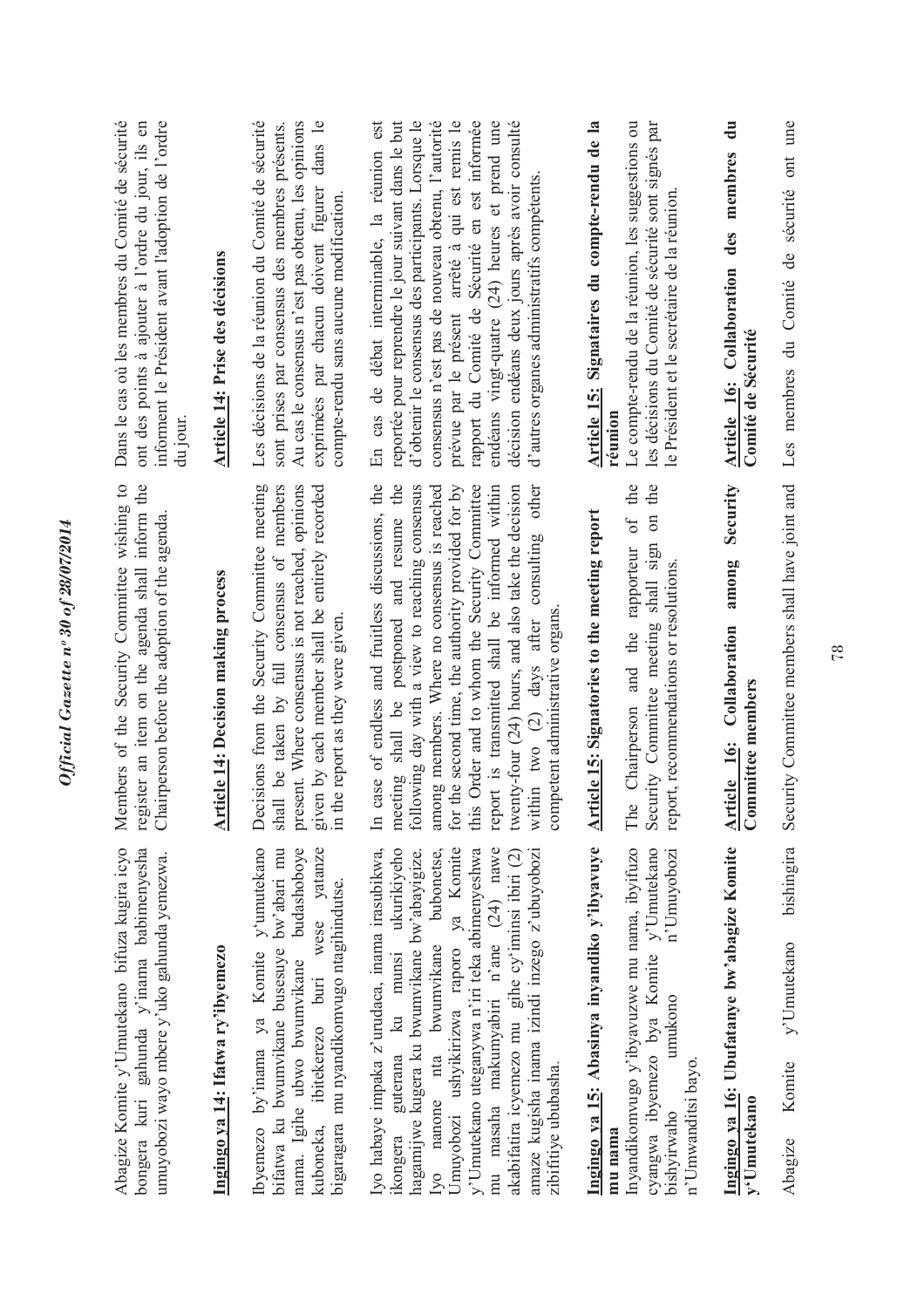| ume<br>ont<br>sécurité<br>Les membres du Comité de                                                                                                                                                                                                                                                                                                                                                                                                                        | Security Committee members shall have joint and                                                                                                                                                                                                                                                                                                                                                                                                                                                                                 | bishingira<br>y'Umutekano<br>Komite<br>Abagize                                                                                                                                                                                                                                                                                                                                                                                                           |
|---------------------------------------------------------------------------------------------------------------------------------------------------------------------------------------------------------------------------------------------------------------------------------------------------------------------------------------------------------------------------------------------------------------------------------------------------------------------------|---------------------------------------------------------------------------------------------------------------------------------------------------------------------------------------------------------------------------------------------------------------------------------------------------------------------------------------------------------------------------------------------------------------------------------------------------------------------------------------------------------------------------------|----------------------------------------------------------------------------------------------------------------------------------------------------------------------------------------------------------------------------------------------------------------------------------------------------------------------------------------------------------------------------------------------------------------------------------------------------------|
| $\mathbf{a}$<br>membres<br>des<br>Article 16: Collaboration<br>Comité de Sécurité                                                                                                                                                                                                                                                                                                                                                                                         | Security<br>among<br>Collaboration<br>mmittee members<br>Article 16:<br>ී                                                                                                                                                                                                                                                                                                                                                                                                                                                       | Ingingo ya 16: Ubufatanye bw'abagize Komite<br>y'Umutekano                                                                                                                                                                                                                                                                                                                                                                                               |
| Le compte-rendu de la réunion, les suggestions ou<br>les décisions du Comité de sécurité sont signés par<br>le Président et le secrétaire de la réunion                                                                                                                                                                                                                                                                                                                   | the<br>the<br>$\sin$<br>$\sigma$ f<br>Security Committee meeting shall sign<br>Chairperson and the rapporteur<br>report, recommendations or resolutions.<br>$\circ$<br>Ë                                                                                                                                                                                                                                                                                                                                                        | Inyandikomvugo y'ibyavuzwe mu nama, ibyifuzo<br>cyangwa ibyemezo bya Komite y'Umutekano<br>n'Umuyobozi<br>umukono<br>n'Umwanditsi bayo.<br>bishyirwaho                                                                                                                                                                                                                                                                                                   |
| Article 15: Signataires du compte-rendu de la<br>réunior                                                                                                                                                                                                                                                                                                                                                                                                                  | Article 15: Signatories to the meeting report                                                                                                                                                                                                                                                                                                                                                                                                                                                                                   | Ingingo ya 15: Abasinya inyandiko y'ibyavuye<br>mu nama                                                                                                                                                                                                                                                                                                                                                                                                  |
| d'obtenir le consensus des participants. Lorsque le<br>consensus n'est pas de nouveau obtenu, l'autorité<br>prévue par le présent arrêté à qui est remis le<br>rapport du Comité de Sécurité en est informée<br>reportée pour reprendre le jour suivant dans le but<br>endéans vingt-quatre (24) heures et prend une<br>décision endéans deux jours après avoir consulté<br>est<br>En cas de débat interminable, la réunion<br>d'autres organes administratifs compétents | case of endless and fruitless discussions, the<br>the<br>for the second time, the authority provided for by<br>following day with a view to reaching consensus<br>among members. Where no consensus is reached<br>this Order and to whom the Security Committee<br>report is transmitted shall be informed within<br>twenty-four $(24)$ hours, and also take the decision<br>other<br>postponed and resume<br>consulting<br>competent administrative organs<br>(2) days after<br>meeting shall be<br>within two<br>$\mathbb{H}$ | Iyo habaye impaka z'urudaca, inama irasubikwa,<br>Iyo nanone nta bwumvikane bubonetse,<br>Umuyobozi ushyikirizwa raporo ya Komite<br>y'Umutekano uteganywa n'iri teka abimenyeshwa<br>mu masaha makumyabiri n'ane (24) nawe<br>ukurikiyeho<br>amaze kugisha inama izindi inzego z'ubuyobozi<br>hagamijwe kugera ku bwumvikane bw'abayigize.<br>akabifatira icyemezo mu gihe cy'iminsi ibiri (2)<br>ku munsi<br>ikongera guterana<br>zibifitiye ububasha. |
| Les décisions de la réunion du Comité de sécurité<br>Au cas le consensus n'est pas obtenu, les opinions<br>exprimées par chacun doivent figurer dans le<br>sont prises par consensus des membres présents.<br>compte-rendu sans aucune modification.                                                                                                                                                                                                                      | Decisions from the Security Committee meeting<br>shall be taken by full consensus of members<br>present. Where consensus is not reached, opinions<br>given by each member shall be entirely recorded<br>in the report as they were given                                                                                                                                                                                                                                                                                        | Ibyemezo by'inama ya Komite y'umutekano<br>bifatwa ku bwumvikane busesuye bw'abari mu<br>nama. Igihe ubwo bwumvikane budashoboye<br>ibitekerezo buri wese yatanze<br>bigaragara mu nyandikomvugo ntagihindutse.<br>kuboneka,                                                                                                                                                                                                                             |
| Article 14: Prise des décisions                                                                                                                                                                                                                                                                                                                                                                                                                                           | <b>Article 14: Decision making process</b>                                                                                                                                                                                                                                                                                                                                                                                                                                                                                      | Ingingo ya 14: Ifatwa ry'ibyemezo                                                                                                                                                                                                                                                                                                                                                                                                                        |
| Dans le cas où les membres du Comité de sécurité<br>informent le Président avant l'adoption de l'ordre<br>ont des points à ajouter à l'ordre du jour, ils en<br>du jour                                                                                                                                                                                                                                                                                                   | register an item on the agenda shall inform the<br>Members of the Security Committee wishing to<br>Chairperson before the adoption of the agenda.                                                                                                                                                                                                                                                                                                                                                                               | Abagize Komite y'Umutekano bifuza kugira icyo<br>bongera kuri gahunda y'inama babimenyesha<br>umuyobozi wayo mbere y'uko gahunda yemezwa.                                                                                                                                                                                                                                                                                                                |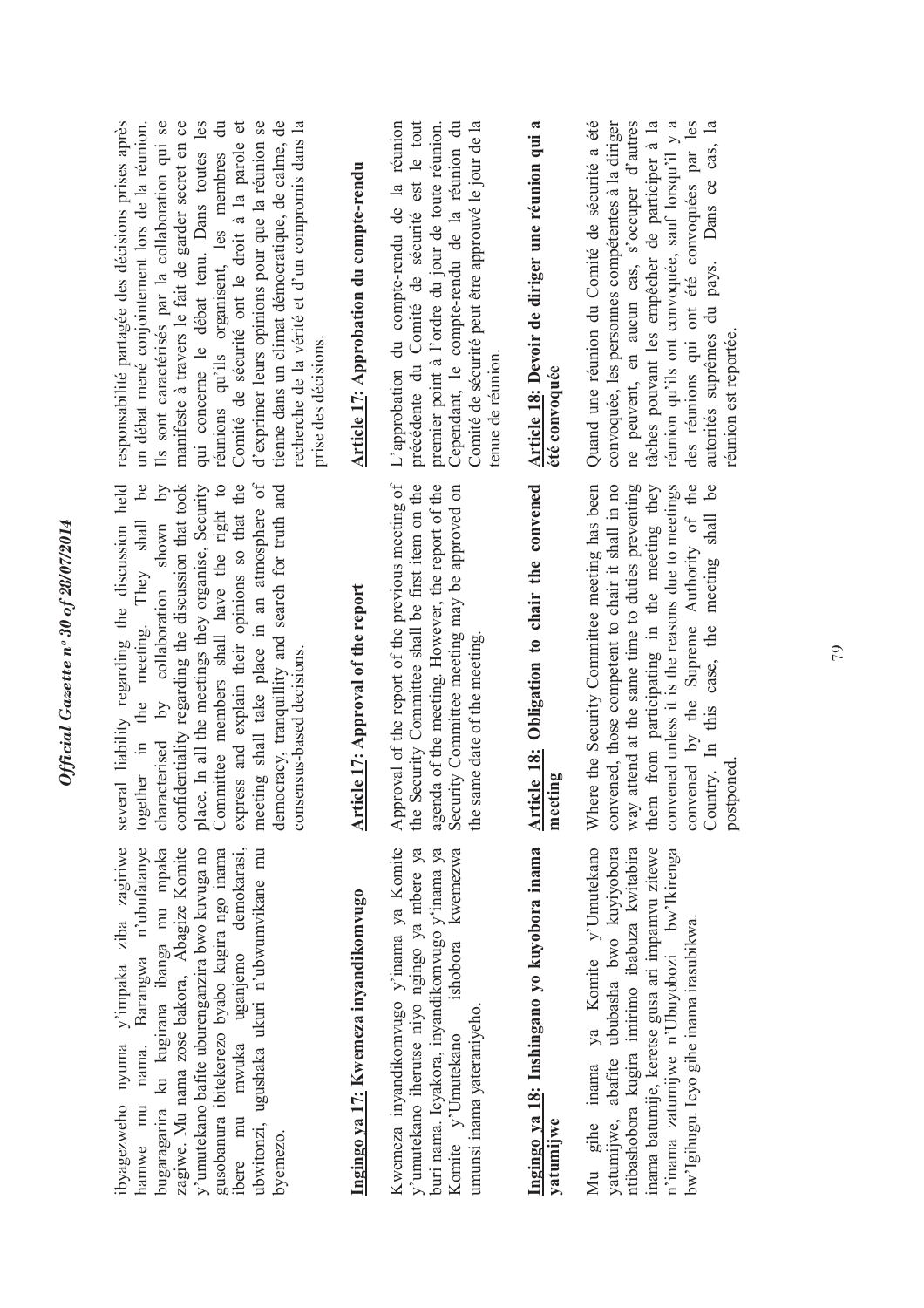byagezweho nyuma y'impaka ziba zagiriwe ibyagezweho nyuma y'impaka ziba zagiriwe nama. Barangwa n'ubufatanye hamwe mu nama. Barangwa n'ubufatanye bugaragarira ku kugirana ibanga mu mpaka bugaragarira ku kugirana ibanga mu mpaka zagiwe. Mu nama zose bakora, Abagize Komite zagiwe. Mu nama zose bakora, Abagize Komite y'umutekano bafite uburenganzira bwo kuvuga no y'umutekano bafite uburenganzira bwo kuvuga no gusobanura ibitekerezo byabo kugira ngo inama gusobanura ibitekerezo byabo kugira ngo inama uganjemo demokarasi, ibere mu mwuka uganjemo demokarasi, ubwitonzi, ugushaka ukuri n'ubwumvikane mu ubwitonzi, ugushaka ukuri n'ubwumvikane mu ibere mu mwuka hamwe mu byemezo.

several liability regarding the discussion held  $be$  $\aleph$ meeting shall take place in an atmosphere of several liability regarding the discussion held together in the meeting. They shall be characterised by collaboration shown by confidentiality regarding the discussion that took confidentiality regarding the discussion that took place. In all the meetings they organise, Security place. In all the meetings they organise, Security Committee members shall have the right to Committee members shall have the right to express and explain their opinions so that the express and explain their opinions so that the meeting shall take place in an atmosphere of democracy, tranquillity and search for truth and democracy, tranquillity and search for truth and together in the meeting. They shall by collaboration shown consensus-based decisions. consensus-based decisions. characterised

# Ingingo ya 17: Kwemeza inyandikomvugo **Ingingo ya 17: Kwemeza inyandikomvugo**

Kwemeza inyandikomvugo y'inama ya Komite Kwemeza inyandikomvugo y'inama ya Komite y'umutekano iherutse niyo ngingo ya mbere ya buri nama. Icyakora, inyandikomvugo y'inama ya Komite y'Umutekano ishobora kwemezwa y'umutekano iherutse niyo ngingo ya mbere ya buri nama. Icyakora, inyandikomvugo y'inama ya ishobora kwemezwa umunsi inama yateraniyeho. umunsi inama yateraniyeho. Komite v'Umutekano

## Article 17: Approval of the report **Article 17: Approval of the report**

Approval of the report of the previous meeting of agenda of the meeting. However, the report of the Security Committee meeting may be approved on the Security Committee shall be first item on the Approval of the report of the previous meeting of the Security Committee shall be first item on the agenda of the meeting. However, the report of the Security Committee meeting may be approved on the same date of the meeting. the same date of the meeting.

### Ingingo ya 18: Inshingano yo kuyobora inama **Ingingo ya 18: Inshingano yo kuyobora inama yatumijwe**

yatumijwe, abafite ububasha bwo kuyiyobora Mu gihe inama ya Komite y'Umutekano ntibashobora kugira imirimo ibabuza kwitabira Mu gihe inama ya Komite y'Umutekano yatumijwe, abafite ububasha bwo kuyiyobora ntibashobora kugira imirimo ibabuza kwitabira inama batumije, keretse gusa ari impamvu zitewe inama batumije, keretse gusa ari impamvu zitewe n'inama zatumijwe n'Ubuyobozi bw'Ikirenga n'inama zatumijwe n'Ubuyobozi bw'Ikirenga bw'Igihugu. Icyo gihe inama irasubikwa. bw'Igihugu. Icyo gihe inama irasubikwa.

### Article 18: Obligation to chair the convened **Article 18: Obligation to chair the convened meeting**

convened, those competent to chair it shall in no Where the Security Committee meeting has been Where the Security Committee meeting has been convened, those competent to chair it shall in no way attend at the same time to duties preventing way attend at the same time to duties preventing them from participating in the meeting they them from participating in the meeting they convened unless it is the reasons due to meetings convened unless it is the reasons due to meetings convened by the Supreme Authority of the convened by the Supreme Authority of the Country. In this case, the meeting shall be Country. In this case, the meeting shall be postponed.

responsabilité partagée des décisions prises après un débat mené conjointement lors de la réunion. Ils sont caractérisés par la collaboration qui se manifeste à travers le fait de garder secret en ce qui concerne le débat tenu. Dans toutes les réunions qu'ils organisent, les membres du Comité de sécurité ont le droit à la parole et d'exprimer leurs opinions pour que la réunion se tienne dans un climat démocratique, de calme, de tienne dans un climat démocratique, de calme, de recherche de la vérité et d'un compromis dans la responsabilité partagée des décisions prises après Ils sont caractérisés par la collaboration qui se manifeste à travers le fait de garder secret en ce qui concerne le débat tenu. Dans toutes les  $\ddot{a}$ Comité de sécurité ont le droit à la parole et d'exprimer leurs opinions pour que la réunion se recherche de la vérité et d'un compromis dans la un débat mené conjointement lors de la réunion. réunions qu'ils organisent, les membres prise des décisions. prise des décisions.

# Article 17: Approbation du compte-rendu **Article 17: Approbation du compte-rendu**

L'approbation du compte-rendu de la réunion précédente du Comité de sécurité est le tout premier point à l'ordre du jour de toute réunion. Cependant, le compte-rendu de la réunion du Comité de sécurité peut être approuvé le jour de la L'approbation du compte-rendu de la réunion précédente du Comité de sécurité est le tout Cependant, le compte-rendu de la réunion du Comité de sécurité peut être approuvé le jour de la premier point à l'ordre du jour de toute réunion. enue de réunion. tenue de réunion.

#### **Article 18: Devoir de diriger une réunion qui a**  Article 18: Devoir de diriger une réunion qui a été convoquée **été convoquée**

Quand une réunion du Comité de sécurité a été convoquée, les personnes compétentes à la diriger ne peuvent, en aucun cas, s'occuper d'autres tâches pouvant les empêcher de participer à la réunion qu'ils ont convoquée, sauf lorsqu'il y a des réunions qui ont été convoquées par les autorités suprêmes du pays. Dans ce cas, la Quand une réunion du Comité de sécurité a été convoquée, les personnes compétentes à la diriger ne peuvent, en aucun cas, s'occuper d'autres tâches pouvant les empêcher de participer à la réunion qu'ils ont convoquée, sauf lorsqu'il y a des réunions qui ont été convoquées par les autorités suprêmes du pays. Dans ce cas, la réunion est reportée. réunion est reportée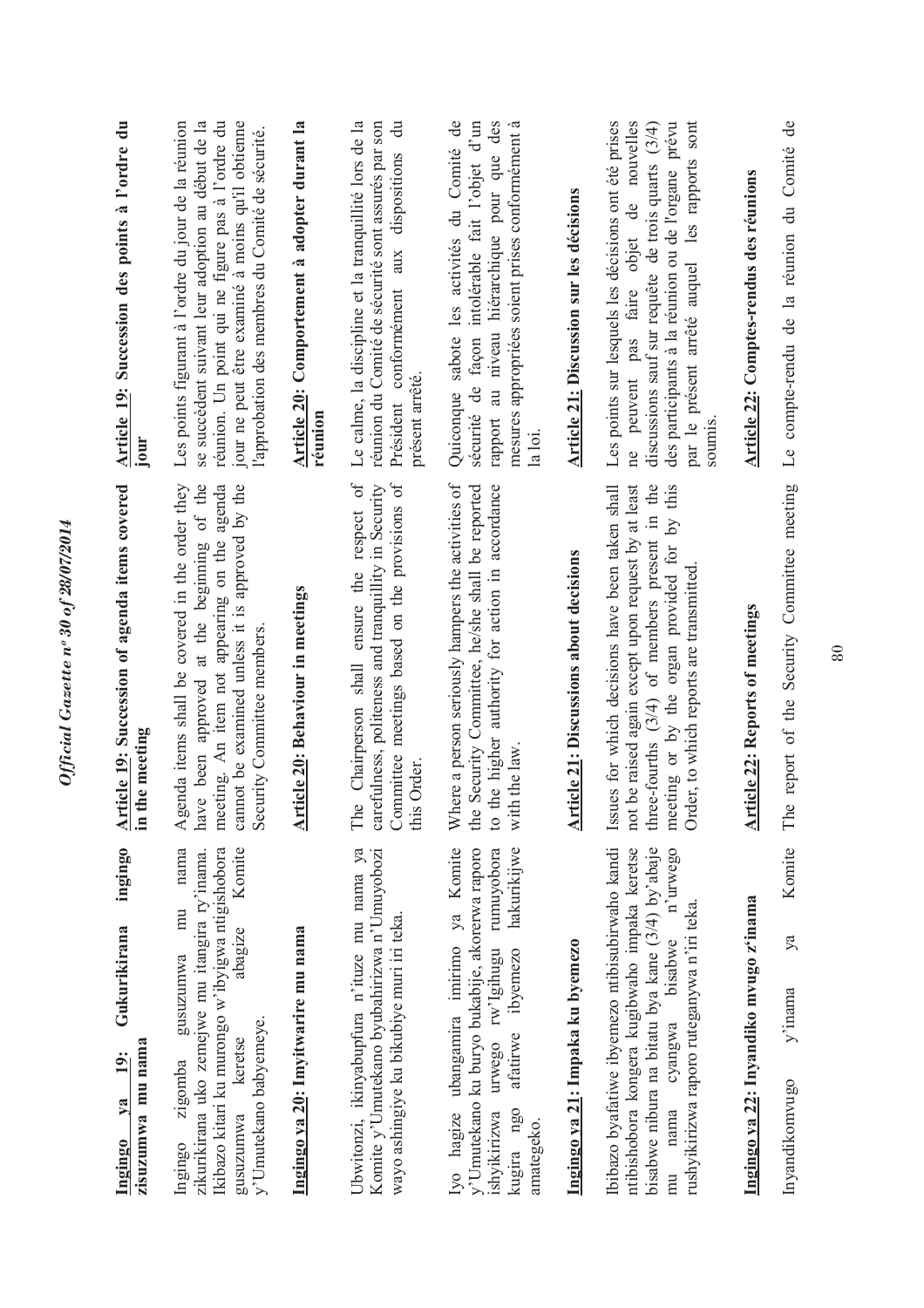| ingingo<br>Gukurikirana<br>zisuzumwa mu nama<br>19:<br>$1$<br>Ingingo                                                                                                                                                                         | <b>Article 19:</b> Succession of agenda items covered<br>in the meeting                                                                                                                                                                                         | Article 19: Succession des points à l'ordre du<br>jour                                                                                                                                                                                                                       |
|-----------------------------------------------------------------------------------------------------------------------------------------------------------------------------------------------------------------------------------------------|-----------------------------------------------------------------------------------------------------------------------------------------------------------------------------------------------------------------------------------------------------------------|------------------------------------------------------------------------------------------------------------------------------------------------------------------------------------------------------------------------------------------------------------------------------|
| nama<br>Komite<br>Ikibazo kitari ku murongo w'ibyigwa ntigishobora<br>zikurikirana uko zemejwe mu itangira ry'inama.<br>mu<br>abagize<br>gusuzumwa<br>y'Umutekano babyemeye.<br>keretse<br>zigomba<br>gusuzumwa<br>Ingingo                    | cannot be examined unless it is approved by the<br>have been approved at the beginning of the<br>Agenda items shall be covered in the order they<br>meeting. An item not appearing on the agenda<br>Security Committee members.                                 | jour ne peut être examiné à moins qu'il obtienne<br>se succèdent suivant leur adoption au début de la<br>réunion. Un point qui ne figure pas à l'ordre du<br>Les points figurant à l'ordre du jour de la réunion<br>l'approbation des membres du Comité de sécurité.         |
| Ingingo ya 20: Imyitwarire mu nama                                                                                                                                                                                                            | Article 20: Behaviour in meetings                                                                                                                                                                                                                               | Article 20: Comportement à adopter durant la<br>reunion                                                                                                                                                                                                                      |
| Ubwitonzi, ikinyabupfura n'ituze mu nama ya<br>Komite y'Umutekano byubahirizwa n'Umuyobozi<br>wayo ashingiye ku bikubiye muri iri teka.                                                                                                       | Chairperson shall ensure the respect of<br>Committee meetings based on the provisions of<br>carefulness, politeness and tranquillity in Security<br>this Order<br>The                                                                                           | Le calme, la discipline et la tranquillité lors de la<br>$\ddot{\vec{a}}$<br>réunion du Comité de sécurité sont assurés par son<br>aux dispositions<br>Président conformément<br>présent arrêté                                                                              |
| Iyo hagize ubangamira imirimo ya Komite<br>hakurikijwe<br>y'Umutekano ku buryo bukabije, akorerwa raporo<br>rumuyobora<br>urwego rw'Igihugu<br>ibyemezo<br>afatirwe<br>kugira ngo<br>ishyikirizwa<br>amategeko.                               | Where a person seriously hampers the activities of<br>Security Committee, he/she shall be reported<br>to the higher authority for action in accordance<br>the law<br>with<br>the 1                                                                              | Quiconque sabote les activités du Comité de<br>rapport au niveau hiérarchique pour que des<br>sécurité de façon intolérable fait l'objet d'un<br>mesures appropriées soient prises conformément à<br>la loi.                                                                 |
| Ingingo ya 21: Impaka ku byemezo                                                                                                                                                                                                              | <b>Article 21: Discussions about decisions</b>                                                                                                                                                                                                                  | Article 21: Discussion sur les décisions                                                                                                                                                                                                                                     |
| Ibibazo byafatiwe ibyemezo ntibisubirwaho kandi<br>bisabwe nibura na bitatu bya kane (3/4) by'abaje<br>ntibishobora kongera kugibwaho impaka keretse<br>n'urwego<br>rushyikirizwa raporo ruteganywa n'iri teka.<br>nama cyangwa bisabwe<br>mu | three-fourths $(3/4)$ of members present in the<br>Issues for which decisions have been taken shall<br>be raised again except upon request by at least<br>meeting or by the organ provided for by this<br>Order, to which reports are transmitted<br>$not \mid$ | les rapports sont<br>Les points sur lesquels les décisions ont été prises<br>ne peuvent pas faire objet de nouvelles<br>des participants à la réunion ou de l'organe prévu<br>discussions sauf sur requête de trois quarts $(3/4)$<br>par le présent arrêté auquel<br>soumis |
| Ingingo ya 22: Inyandiko mvugo z'inama                                                                                                                                                                                                        | <b>Article 22: Reports of meetings</b>                                                                                                                                                                                                                          | Article 22: Comptes-rendus des réunions                                                                                                                                                                                                                                      |
| Komite<br>ya<br>$y'$ inama<br>Inyandikomvugo                                                                                                                                                                                                  | report of the Security Committee meeting<br>The                                                                                                                                                                                                                 | Le compte-rendu de la réunion du Comité de                                                                                                                                                                                                                                   |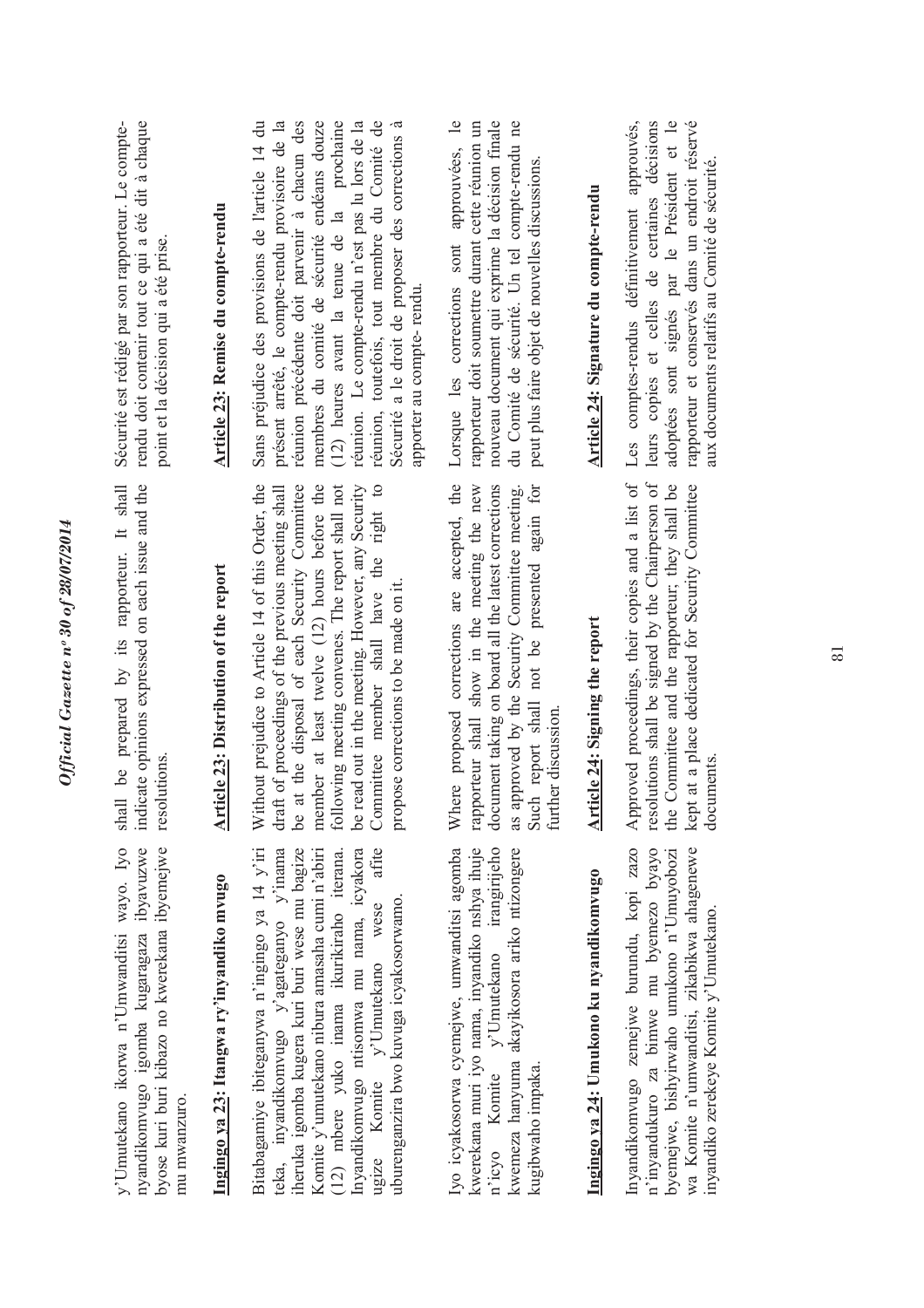| Sécurité est rédigé par son rapporteur. Le compte-<br>rendu doit contenir tout ce qui a été dit à chaque<br>point et la décision qui a été prise.       | Article 23: Remise du compte-rendu            | (12) heures avant la tenue de la prochaine<br>réunion. Le compte-rendu n'est pas lu lors de la<br>réunion, toutefois, tout membre du Comité de<br>présent arrêté, le compte-rendu provisoire de la<br>réunion précédente doit parvenir à chacun des<br>membres du comité de sécurité endéans douze<br>Sécurité a le droit de proposer des corrections à<br>Sans préjudice des provisions de l'article 14 du<br>apporter au compte-rendu. | nouveau document qui exprime la décision finale<br>Lorsque les corrections sont approuvées, le<br>rapporteur doit soumettre durant cette réunion un<br>du Comité de sécurité. Un tel compte-rendu ne<br>peut plus faire objet de nouvelles discussions.                      | Article 24: Signature du compte-rendu   | Les comptes-rendus définitivement approuvés,<br>leurs copies et celles de certaines décisions<br>adoptées sont signés par le Président et le<br>rapporteur et conservés dans un endroit réservé<br>aux documents relatifs au Comité de sécurité. |
|---------------------------------------------------------------------------------------------------------------------------------------------------------|-----------------------------------------------|------------------------------------------------------------------------------------------------------------------------------------------------------------------------------------------------------------------------------------------------------------------------------------------------------------------------------------------------------------------------------------------------------------------------------------------|------------------------------------------------------------------------------------------------------------------------------------------------------------------------------------------------------------------------------------------------------------------------------|-----------------------------------------|--------------------------------------------------------------------------------------------------------------------------------------------------------------------------------------------------------------------------------------------------|
| indicate opinions expressed on each issue and the<br>shall be prepared by its rapporteur. It shall<br>resolutions.                                      | <b>Article 23: Distribution of the report</b> | Without prejudice to Article 14 of this Order, the<br>at the disposal of each Security Committee<br>member at least twelve (12) hours before the<br>following meeting convenes. The report shall not<br>be read out in the meeting. However, any Security<br>Committee member shall have the right to<br>draft of proceedings of the previous meeting shall<br>propose corrections to be made on it<br><b>be</b>                         | Where proposed corrections are accepted, the<br>document taking on board all the latest corrections<br>rapporteur shall show in the meeting the new<br>Such report shall not be presented again for<br>as approved by the Security Committee meeting.<br>further discussion. | Article 24: Signing the report          | Approved proceedings, their copies and a list of<br>resolutions shall be signed by the Chairperson of<br>the Committee and the rapporteur; they shall be<br>kept at a place dedicated for Security Committee<br>documents.                       |
| y'Umutekano ikorwa n'Umwanditsi wayo. Iyo<br>nyandikomvugo igomba kugaragaza ibyavuzwe<br>byose kuri buri kibazo no kwerekana ibyemejwe<br>mu mwanzuro. | Ingingo ya 23: Itangwa ry'inyandiko mvugo     | atite<br>Bitabagamiye ibiteganywa n'ingingo ya 14 y'iri<br>teka, inyandikomvugo y'agateganyo y'inama<br>iheruka igomba kugera kuri buri wese mu bagize<br>Komite y'umutekano nibura amasaha cumi n'abiri<br>Inyandikomvugo ntisomwa mu nama, icyakora<br>(12) mbere yuko inama ikurikiraho iterana<br>uburenganzira bwo kuvuga icyakosorwamo<br>ugize Komite $y'$ Umutekano wese                                                         | kwerekana muri iyo nama, inyandiko nshya ihuje<br>trangirijeho<br>Iyo icyakosorwa cyemejwe, umwanditsi agomba<br>kwemeza hanyuma akayikosora ariko ntizongere<br>$n'icyo$ Komite $y'U$ mutekano<br>kugibwaho impaka.                                                         | Ingingo ya 24: Umukono ku nyandikomvugo | Inyandikomvugo zemejwe burundu, kopi zazo<br>wa Komite n'umwanditsi, zikabikwa ahagenewe<br>n'inyandukuro za bimwe mu byemezo byayo<br>byemejwe, bishyirwaho umukono n'Umuyobozi<br>inyandiko zerekeye Komite y'Umutekano.                       |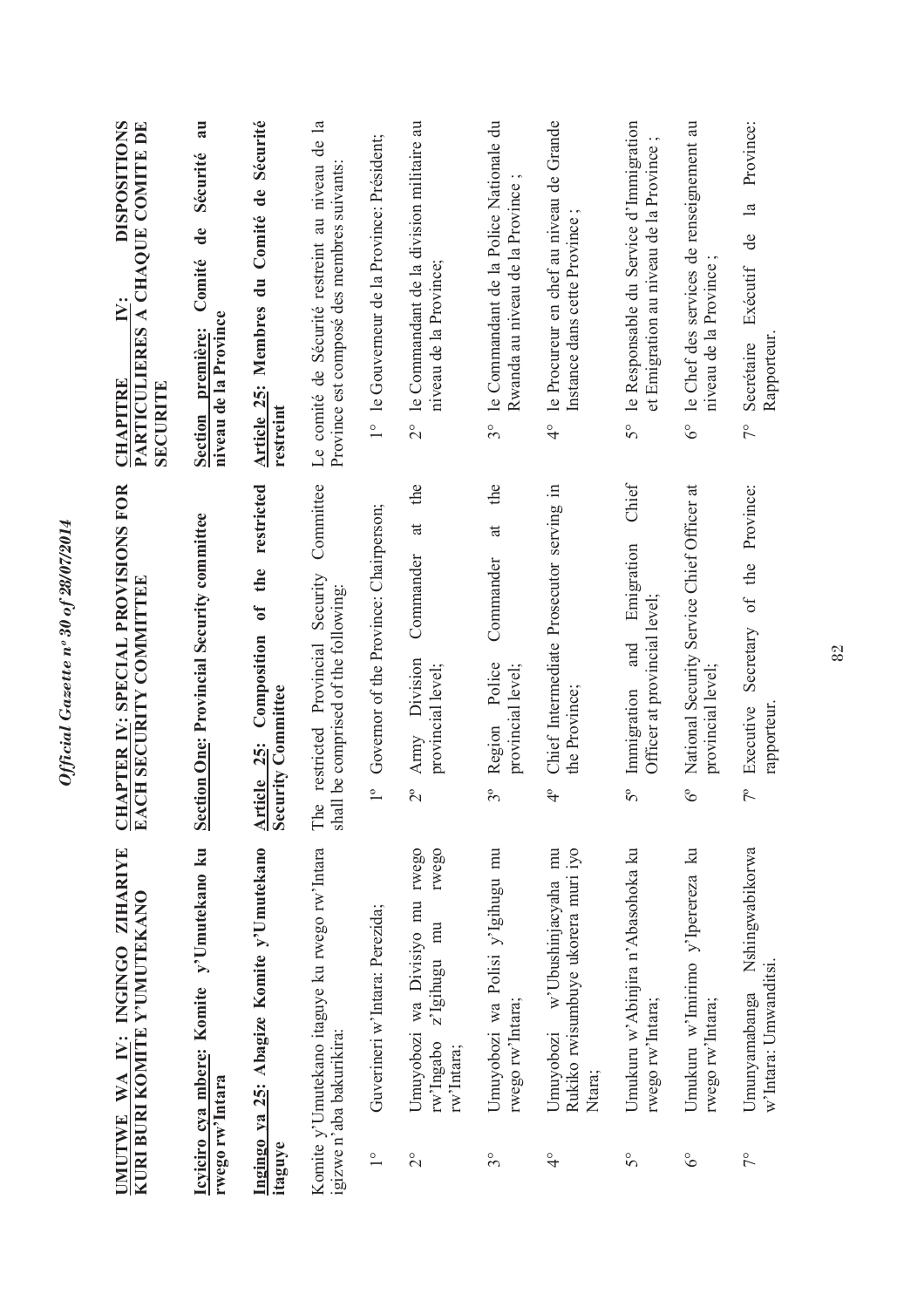|                      | UMUTWE WA IY: INGINGO ZIHARIYE<br>KURI BURI KOMITE Y'UMUTEKANO                      | <u>CHAPTER IV</u> : SPECIAL PROVISIONS FOR<br>EACH SECURITY COMMITTEE                                         | <b>DISPOSITIONS</b><br>PARTICULIERES A CHAQUE COMITE DE<br>$\ddot{\mathsf{N}}$ :<br><b>CHAPITRE</b><br><b>SECURITE</b> |
|----------------------|-------------------------------------------------------------------------------------|---------------------------------------------------------------------------------------------------------------|------------------------------------------------------------------------------------------------------------------------|
| rwego rw'Intara      | y'Umutekano ku<br>Icyiciro cya mbere: Komite                                        | Section One: Provincial Security committee                                                                    | au<br>Sécurité<br>de<br>Comité<br>niveau de la Province<br>Section première:                                           |
| itaguye              | Ingingo ya 25: Abagize Komite y'Umutekano                                           | restricted<br>the<br>$\mathbf{c}$<br>Composition<br><b>Security Committee</b><br><u>25:</u><br><b>Article</b> | Membres du Comité de Sécurité<br><b>Article 25:</b><br>restreint                                                       |
|                      | Komite y'Umutekano itaguye ku rwego rw'Intara<br>igizwe n'aba bakurikira:           | Committee<br>Security<br>shall be comprised of the following:<br>The restricted Provincial                    | $\mathbf{a}$<br>Le comité de Sécurité restreint au niveau de<br>Province est composé des membres suivants              |
| $\frac{1}{\sqrt{2}}$ | Guverineri w'Intara: Perezida;                                                      | Governor of the Province: Chairperson;<br>$\overline{1}^{\circ}$                                              | 1° le Gouverneur de la Province: Président;                                                                            |
| $\overline{C}$       | rwego<br>Umuyobozi wa Divisiyo mu rwego<br>z'Igihugu mu<br>rw'Ingabo<br>rw'Intara;  | the<br>$\ddot{a}$<br>Commander<br>Division<br>provincial level;<br>Army<br>$2^{\circ}$                        | 2° le Commandant de la division militaire au<br>niveau de la Province;                                                 |
| $3^{\circ}$          | Umuyobozi wa Polisi y'Igihugu mu<br>rwego rw'Intara;                                | the<br>$\ddot{a}$<br>Commander<br>Police<br>provincial level;<br>Region<br>$3^{\circ}$                        | le Commandant de la Police Nationale du<br>Rwanda au niveau de la Province<br>$3^{\circ}$                              |
| $\frac{1}{4}$        | Rukiko rwisumbuye ukorera muri iyo<br>mu<br>w'Ubushinjacyaha<br>Umuyobozi<br>Ntara; | Chief Intermediate Prosecutor serving in<br>the Province;<br>$\frac{1}{4}$                                    | le Procureur en chef au niveau de Grande<br>Instance dans cette Province;<br>$\frac{1}{4}$                             |
| $5^{\circ}$          | Umukuru w'Abinjira n'Abasohoka ku<br>rwego rw'Intara;                               | Chief<br>Emigration<br>Officer at provincial level;<br>and<br>Immigration<br>$5^{\circ}$                      | le Responsable du Service d'Immigration<br>et Emigration au niveau de la Province<br>$\mathcal{S}^{\circ}$             |
| $\delta^{\circ}$     | Umukuru w'Imirimo y'Iperereza ku<br>rwego rw'Intara;                                | National Security Service Chief Officer at<br>provincial level;<br>$\delta^{\circ}$                           | 6° le Chef des services de renseignement au<br>niveau de la Province                                                   |
| $\frac{1}{2}$        | Nshingwabikorwa<br>w'Intara: Umwanditsi.<br>Umunyamabanga                           | Secretary of the Province:<br>rapporteur.<br>Executive<br>$7^{\circ}$                                         | Province:<br>de la<br>Exécutif<br>Rapporteur<br>Secrétaire<br>$\frac{1}{2}$                                            |
|                      |                                                                                     |                                                                                                               |                                                                                                                        |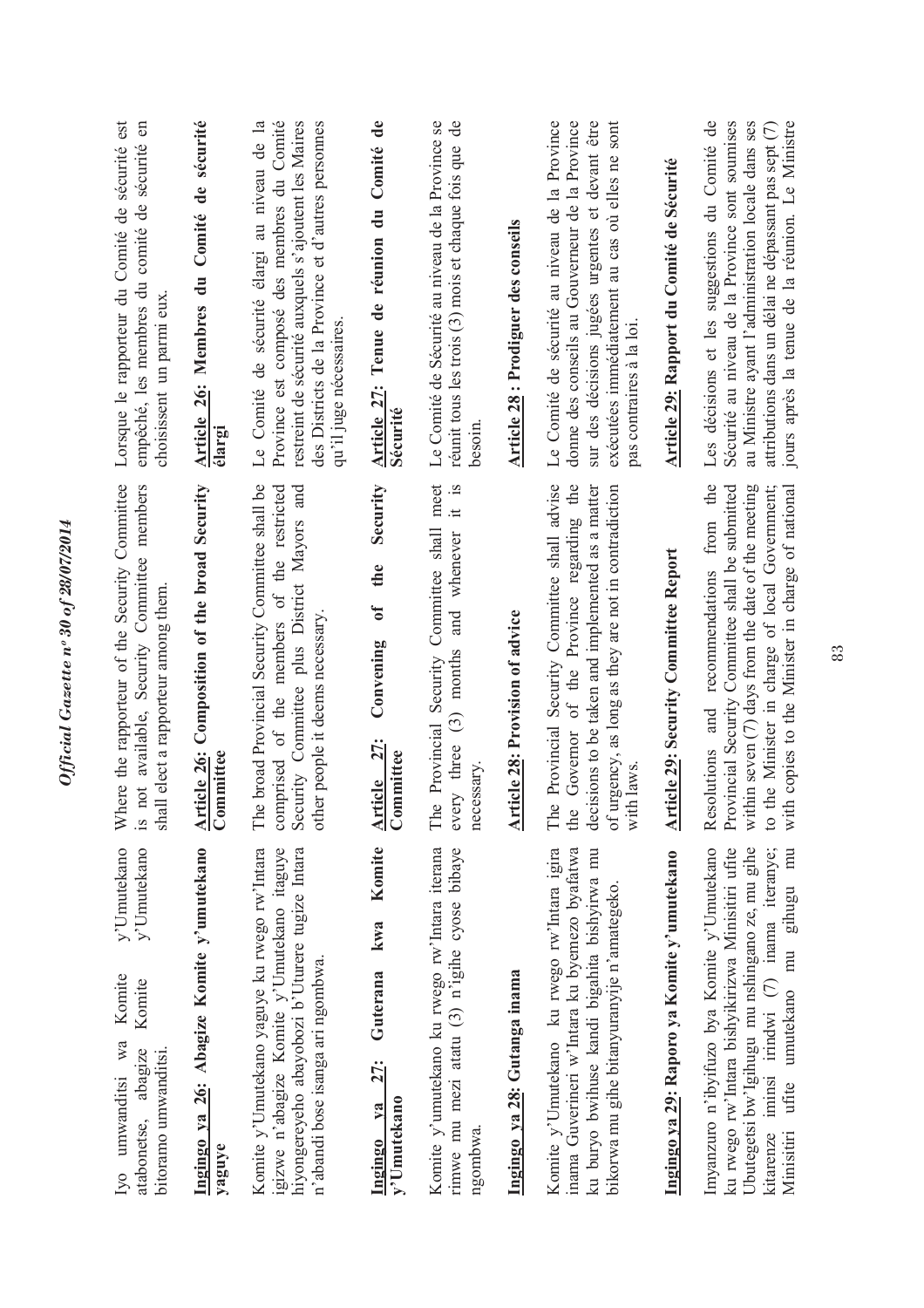| y'Umutekano<br>y'Umutekano<br>Komite<br>Komite<br>Iyo umwanditsi wa<br>abagize<br>bitoramo umwanditsi.<br>atabonetse,                                                                                                                                  | here the rapporteur of the Security Committee<br>not available, Security Committee members<br>shall elect a rapporteur among them<br>$\gtrapprox$<br>$\tilde{\mathbf{z}}$ .                                                                                 | Lorsque le rapporteur du Comité de sécurité est<br>$\mathbf{g}$<br>empêché, les membres du comité de sécurité<br>choisissent un parmi eux                                                                                                                         |
|--------------------------------------------------------------------------------------------------------------------------------------------------------------------------------------------------------------------------------------------------------|-------------------------------------------------------------------------------------------------------------------------------------------------------------------------------------------------------------------------------------------------------------|-------------------------------------------------------------------------------------------------------------------------------------------------------------------------------------------------------------------------------------------------------------------|
| Ingingo ya 26: Abagize Komite y'umutekano<br>yaguye                                                                                                                                                                                                    | Article 26: Composition of the broad Security<br>Committee                                                                                                                                                                                                  | Article 26: Membres du Comité de sécurité<br>élargi                                                                                                                                                                                                               |
| Komite y'Umutekano yaguye ku rwego rw'Intara<br>igizwe n'abagize Komite y'Umutekano itaguye<br>hiyongereyeho abayobozi b'Uturere tugize Intara<br>n'abandi bose isanga ari ngombwa.                                                                    | e broad Provincial Security Committee shall be<br>comprised of the members of the restricted<br>Security Committee plus District Mayors and<br>other people it deems necessary<br>É                                                                         | Province est composé des membres du Comité<br>des Districts de la Province et d'autres personnes<br>Le Comité de sécurité élargi au niveau de la<br>restreint de sécurité auxquels s'ajoutent les Maires<br>qu'il juge nécessaires                                |
| Komite<br>kwa<br>Guterana<br>27:<br>y'Umutekano<br>$va$<br>Ingingo                                                                                                                                                                                     | Security<br>the<br>$\mathfrak{b}$<br>Convening<br>Article 27:<br>mmittee<br>ී                                                                                                                                                                               | Comité de<br>Tenue de réunion du<br>Article 27:<br>Sécurité                                                                                                                                                                                                       |
| Komite y'umutekano ku rwego rw'Intara iterana<br>rimwe mu mezi atatu $(3)$ n'igihe cyose bibaye<br>ngombwa.                                                                                                                                            | meet<br>$\frac{1}{15}$<br>Security Committee shall<br>whenever<br>and<br>months<br>$\binom{3}{2}$<br>The Provincial<br>every three<br>necessary                                                                                                             | Le Comité de Sécurité au niveau de la Province se<br>réunit tous les trois $(3)$ mois et chaque fois que de<br>besoin                                                                                                                                             |
| Ingingo ya 28: Gutanga inama                                                                                                                                                                                                                           | <b>Article 28: Provision of advice</b>                                                                                                                                                                                                                      | Article 28 : Prodiguer des conseils                                                                                                                                                                                                                               |
| Komite y'Umutekano ku rwego rw'Intara igira<br>inama Guverineri w'Intara ku byemezo byafatwa<br>ku buryo bwihuse kandi bigahita bishyirwa mu<br>bikorwa mu gihe bitanyuranyije n'amategeko.                                                            | Provincial Security Committee shall advise<br>Governor of the Province regarding the<br>decisions to be taken and implemented as a matter<br>of urgency, as long as they are not in contradiction<br>with laws<br>$\ddot{\circ}$<br>È<br>the                | Le Comité de sécurité au niveau de la Province<br>donne des conseils au Gouverneur de la Province<br>sur des décisions jugées urgentes et devant être<br>exécutées immédiatement au cas où elles ne sont<br>pas contraires à la loi.                              |
| Ingingo ya 29: Raporo ya Komite y'umutekano                                                                                                                                                                                                            | <b>Article 29: Security Committee Report</b>                                                                                                                                                                                                                | Article 29: Rapport du Comité de Sécurité                                                                                                                                                                                                                         |
| ku rwego rw'Intara bishyikirizwa Minisitiri ufite<br>Ubutegetsi bw'lgihugu mu nshingano ze, mu gihe<br>Imyanzuro n'ibyifuzo bya Komite y'Umutekano<br>iminsi irindwi (7) inama iteranye;<br>umutekano mu gihugu mu<br>ufite<br>kitarenze<br>Minisitiri | Resolutions and recommendations from the<br>Provincial Security Committee shall be submitted<br>within seven $(7)$ days from the date of the meeting<br>with copies to the Minister in charge of national<br>to the Minister in charge of local Government; | Les décisions et les suggestions du Comité de<br>jours après la tenue de la réunion. Le Ministre<br>Sécurité au niveau de la Province sont soumises<br>au Ministre ayant l'administration locale dans ses<br>attributions dans un délai ne dépassant pas sept (7) |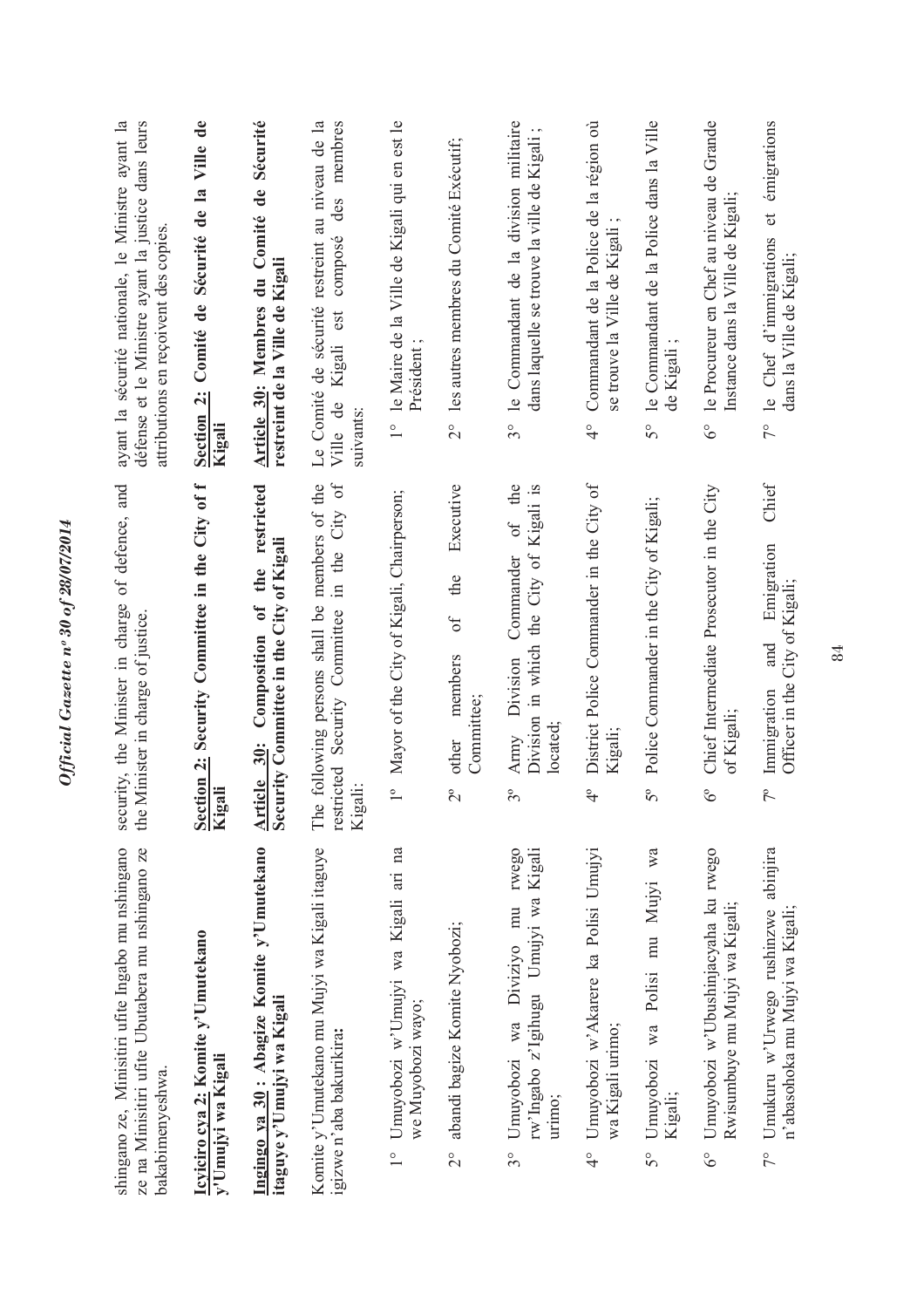|                | shingano ze, Minisitiri ufite Ingabo mu nshingano<br>ze na Minisitiri ufite Ubutabera mu nshingano ze<br>bakabimenyeshwa. | of defence, and<br>security, the Minister in charge<br>the Minister in charge of justice.                               | ayant la sécurité nationale, le Ministre ayant la<br>défense et le Ministre ayant la justice dans leurs<br>attributions en reçoivent des copies |
|----------------|---------------------------------------------------------------------------------------------------------------------------|-------------------------------------------------------------------------------------------------------------------------|-------------------------------------------------------------------------------------------------------------------------------------------------|
|                | Icyiciro cya 2: Komite y'Umutekano<br>y'Umujyi wa Kigali                                                                  | Section 2: Security Committee in the City of f<br>Kigali                                                                | Section 2: Comité de Sécurité de la Ville de<br>Kigali                                                                                          |
|                | Ingingo ya 30: Abagize Komite y'Umutekano<br>itaguye y'Umujyi wa Kigali                                                   | restricted<br>Security Committee in the City of Kigali<br>the<br>$\mathfrak{h}$<br>Composition<br>Article 30:           | Article 30: Membres du Comité de Sécurité<br>restreint de la Ville de Kigali                                                                    |
|                | Komite y'Umutekano mu Mujyi wa Kigali itaguye<br>igizwe n'aba bakurikira:                                                 | e following persons shall be members of the<br>Security Committee in the City of<br>restricted<br>Kigali:<br>Ê          | au niveau de la<br>des membres<br>composé<br>Le Comité de sécurité restreint<br>est<br>Kigali<br>Ville de<br>suivants:                          |
| $\frac{1}{2}$  | Umuyobozi w'Umujyi wa Kigali ari na<br>we Muyobozi wayo;                                                                  | Mayor of the City of Kigali, Chairperson;<br>$\frac{1}{1}$                                                              | 1° le Maire de la Ville de Kigali qui en est le<br>Président:                                                                                   |
| $\overline{C}$ | abandi bagize Komite Nyobozi;                                                                                             | Executive<br>the<br>of<br>members<br>Committee;<br>other<br>$2^{\circ}$                                                 | les autres membres du Comité Exécutif;<br>$\frac{1}{2}$                                                                                         |
| $3^{\circ}$    | Umuyobozi wa Diviziyo mu rwego<br>rw'Ingabo z'Igihugu Umujyi wa Kigali<br>urimo;                                          | the<br>the City of Kigali is<br>$\circ$ f<br>Commander<br>Division in which<br>Army Division<br>located:<br>$3^{\circ}$ | le Commandant de la division militaire<br>$\cdot$ $\sim$<br>dans laquelle se trouve la ville de Kigali<br>$3^{\circ}$                           |
| $\frac{1}{4}$  | Umuyobozi w'Akarere ka Polisi Umujyi<br>wa Kigali urimo;                                                                  | District Police Commander in the City of<br>Kigali;<br>$\ddot{ }$                                                       | Commandant de la Police de la région où<br>se trouve la Ville de Kigali<br>$\frac{1}{4}$                                                        |
| 50             | Umuyobozi wa Polisi mu Mujyi wa<br>Kigali;                                                                                | Police Commander in the City of Kigali;<br>$5^{\circ}$                                                                  | le Commandant de la Police dans la Ville<br>de Kigali<br>50                                                                                     |
| $6^\circ$      | Umuyobozi w'Ubushinjacyaha ku rwego<br>Rwisumbuye mu Mujyi wa Kigali;                                                     | Chief Intermediate Prosecutor in the City<br>of Kigali;<br>$\delta^{\circ}$                                             | le Procureur en Chef au niveau de Grande<br>Instance dans la Ville de Kigali;<br>$\delta^{\circ}$                                               |
| $7^{\circ}$    | Umukuru w'Urwego rushinzwe abinjira<br>n'abasohoka mu Mujyi wa Kigali;                                                    | Chief<br>Emigration<br>Officer in the City of Kigali;<br>and<br>Immigration<br>$7^{\circ}$                              | émigrations<br>$\sigma$<br>le Chef d'immigrations<br>dans la Ville de Kigali;<br>$\tilde{7}^{\circ}$                                            |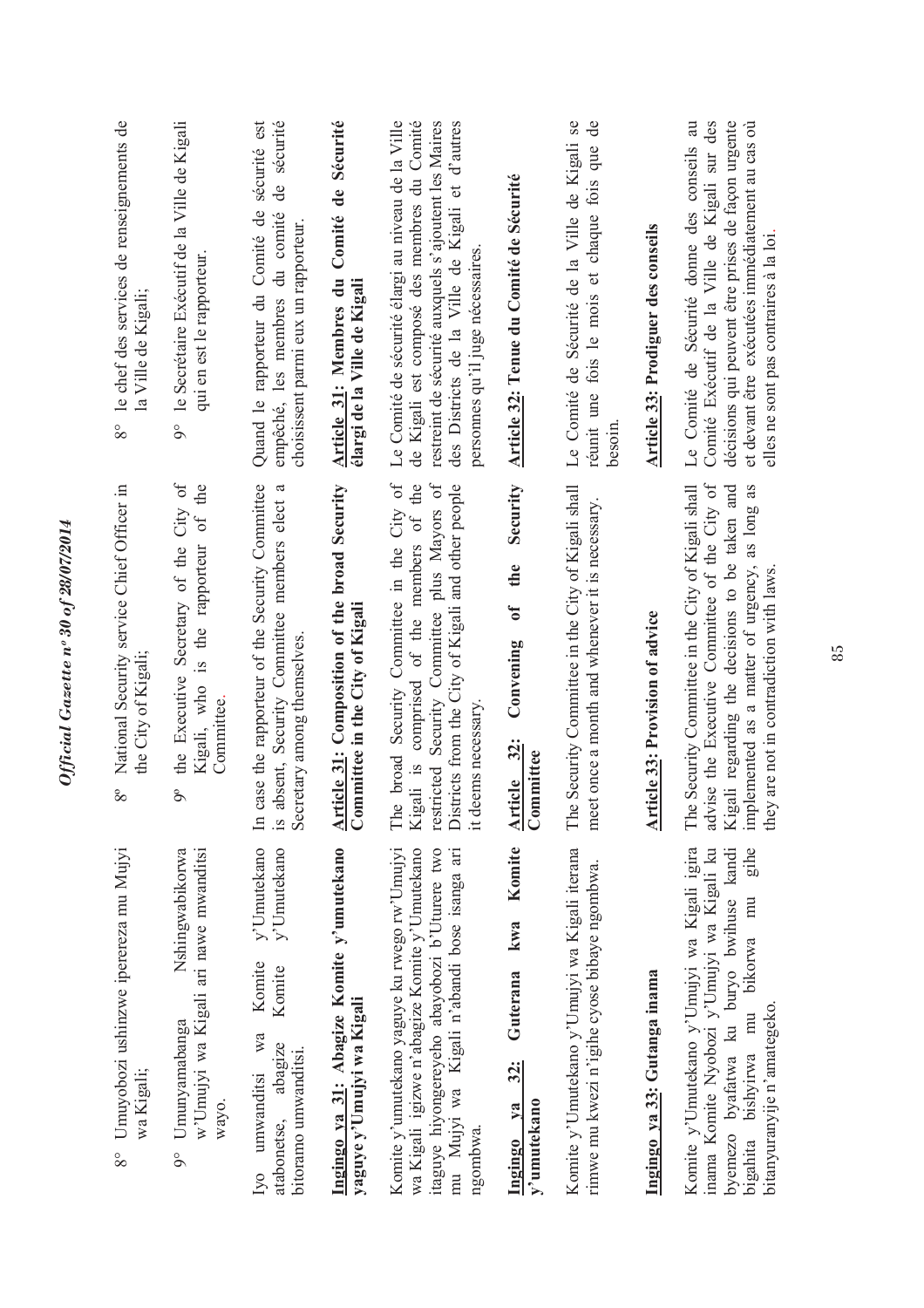| Umuyobozi ushinzwe iperereza mu Mujyi<br>wa Kigali;<br>$8^{\circ}$                                                                                                                                             | National Security service Chief Officer in<br>the City of Kigali;<br>$8^{\circ}$                                                                                                                                                                          | le chef des services de renseignements de<br>la Ville de Kigali;<br>$8^{\circ}$                                                                                                                                                                                |
|----------------------------------------------------------------------------------------------------------------------------------------------------------------------------------------------------------------|-----------------------------------------------------------------------------------------------------------------------------------------------------------------------------------------------------------------------------------------------------------|----------------------------------------------------------------------------------------------------------------------------------------------------------------------------------------------------------------------------------------------------------------|
| Nshingwabikorwa<br>w'Umujyi wa Kigali ari nawe mwanditsi<br>Umunyamabanga<br>wayo.<br>$\delta$                                                                                                                 | City of<br>of the<br>Kigali, who is the rapporteur<br>the Executive Secretary of the<br>Committee.<br>$\delta^{\circ}$                                                                                                                                    | le Secrétaire Exécutif de la Ville de Kigali<br>qui en est le rapporteur.<br>$\delta$                                                                                                                                                                          |
| v'Umutekano<br>y'Umutekano<br>Komite<br>Komite<br>wa<br>abagize<br>bitoramo umwanditsi.<br>umwanditsi<br>atabonetse,<br>Ivo                                                                                    | In case the rapporteur of the Security Committee<br>$\mathfrak{a}$<br>is absent, Security Committee members elect<br>Secretary among themselves.                                                                                                          | sécurité est<br>sécurité<br>de<br>Quand le rapporteur du Comité de<br>du comité<br>choisissent parmi eux un rapporteur.<br>empêché, les membres                                                                                                                |
| Ingingo ya 31: Abagize Komite y'umutekano<br>yaguye y'Umujyi wa Kigali                                                                                                                                         | Article 31: Composition of the broad Security<br>Committee in the City of Kigali                                                                                                                                                                          | Comité de Sécurité<br>Article 31: Membres du<br>élargi de la Ville de Kigali                                                                                                                                                                                   |
| Komite y'umutekano yaguye ku rwego rw'Umujyi<br>wa Kigali igizwe n'abagize Komite y'Umutekano<br>itaguye hiyongereyeho abayobozi b'Uturere two<br>mu Mujyi wa Kigali n'abandi bose isanga ari<br>ngombwa.      | broad Security Committee in the City of<br>restricted Security Committee plus Mayors of<br>Kigali is comprised of the members of the<br>Districts from the City of Kigali and other people<br>it deems necessary<br>The                                   | Le Comité de sécurité élargi au niveau de la Ville<br>de Kigali est composé des membres du Comité<br>restreint de sécurité auxquels s'ajoutent les Maires<br>des Districts de la Ville de Kigali et d'autres<br>personnes qu'il juge nécessaires.              |
| Komite<br>kwa<br>Guterana<br>$32$ :<br>y'umutekano<br>$va$<br>Ingingo                                                                                                                                          | Security<br>the<br>$\mathfrak{h}$<br>Convening<br>Article 32:<br>Committee                                                                                                                                                                                | Article 32: Tenue du Comité de Sécurité                                                                                                                                                                                                                        |
| Komite y'Umutekano y'Umujyi wa Kigali iterana<br>rimwe mu kwezi n'igihe cyose bibaye ngombwa.                                                                                                                  | Security Committee in the City of Kigali shall<br>meet once a month and whenever it is necessary.<br>The                                                                                                                                                  | Le Comité de Sécurité de la Ville de Kigali se<br>$\mathsf{d}\mathsf{e}$<br>réunit une fois le mois et chaque fois que<br>besoin                                                                                                                               |
| Ingingo ya 33: Gutanga inama                                                                                                                                                                                   | <b>Article 33: Provision of advice</b>                                                                                                                                                                                                                    | <b>Article 33: Prodiguer des conseils</b>                                                                                                                                                                                                                      |
| Komite y'Umutekano y'Umujyi wa Kigali igira<br>gihe<br>byemezo byafatwa ku buryo bwihuse kandi<br>inama Komite Nyobozi y'Umujyi wa Kigali ku<br>bigahita bishyirwa mu bikorwa mu<br>bitanyuranyije n'amategeko | advise the Executive Committee of the City of<br>Security Committee in the City of Kigali shall<br>implemented as a matter of urgency, as long as<br>Kigali regarding the decisions to be taken and<br>are not in contradiction with laws.<br>The<br>they | $\overline{a}$<br>décisions qui peuvent être prises de façon urgente<br>Comité Exécutif de la Ville de Kigali sur des<br>et devant être exécutées immédiatement au cas où<br>Le Comité de Sécurité donne des conseils<br>elles ne sont pas contraires à la loi |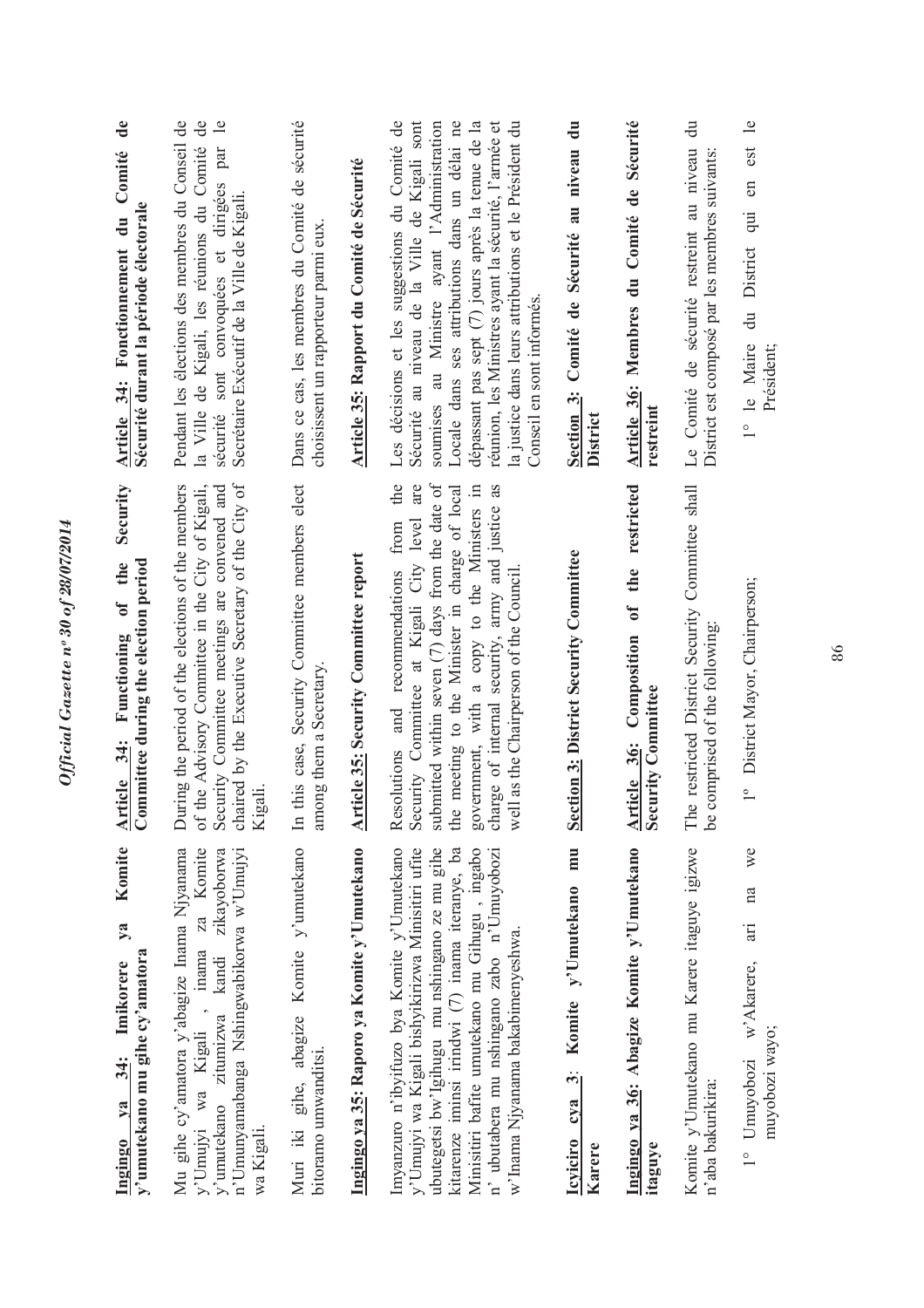| Komite<br>$\overline{y}$ a<br>y'umutekano mu gihe cy'amatora<br>Imikorere<br>34:<br>$1$<br>Ingingo                                                                                                                                                                                                                                       | Security<br>Committee during the election period<br>of the<br>Functioning<br>Article 34:                                                                                                                                                                                                                                                               | $\ddot{\mathbf{d}}$ e<br>Article 34: Fonctionnement du Comité<br>Sécurité durant la période électorale                                                                                                                                                                                                                                                                                            |
|------------------------------------------------------------------------------------------------------------------------------------------------------------------------------------------------------------------------------------------------------------------------------------------------------------------------------------------|--------------------------------------------------------------------------------------------------------------------------------------------------------------------------------------------------------------------------------------------------------------------------------------------------------------------------------------------------------|---------------------------------------------------------------------------------------------------------------------------------------------------------------------------------------------------------------------------------------------------------------------------------------------------------------------------------------------------------------------------------------------------|
| Mu gihe cy'amatora y'abagize Inama Njyanama<br>Komite<br>zikayoborwa<br>n'Umunyamabanga Nshingwabikorwa w'Umujyi<br>za<br>mama<br>y'umutekano zitumizwa kandi<br>y'Umujyi wa Kigali,<br>wa Kigali.                                                                                                                                       | chaired by the Executive Secretary of the City of<br>of the Advisory Committee in the City of Kigali,<br>During the period of the elections of the members<br>Security Committee meetings are convened and<br>Kigali.                                                                                                                                  | Pendant les élections des membres du Conseil de<br>la Ville de Kigali, les réunions du Comité de<br>$\mathbf{e}$<br>sécurité sont convoquées et dirigées par<br>Secrétaire Exécutif de la Ville de Kigali.                                                                                                                                                                                        |
| Komite y'umutekano<br>Muri iki gihe, abagize<br>bitoramo umwanditsi.                                                                                                                                                                                                                                                                     | this case, Security Committee members elect<br>among them a Secretary.<br>$\mathbb{H}$                                                                                                                                                                                                                                                                 | Dans ce cas, les membres du Comité de sécurité<br>choisissent un rapporteur parmi eux                                                                                                                                                                                                                                                                                                             |
| Ingingo ya 35: Raporo ya Komite y'Umutekano                                                                                                                                                                                                                                                                                              | <b>Article 35: Security Committee report</b>                                                                                                                                                                                                                                                                                                           | Article 35: Rapport du Comité de Sécurité                                                                                                                                                                                                                                                                                                                                                         |
| Imyanzuro n'ibyifuzo bya Komite y'Umutekano<br>y'Umujyi wa Kigali bishyikirizwa Minisitiri ufite<br>ubutegetsi bw'Igihugu mu nshingano ze mu gihe<br>kitarenze iminsi irindwi (7) inama iteranye, ba<br>Minisitiri bafite umutekano mu Gihugu, ingabo<br>n' ubutabera mu nshingano zabo n'Umuyobozi<br>w'Inama Njyanama bakabimenyeshwa. | the<br>submitted within seven $(7)$ days from the date of<br>are<br>charge of internal security, army and justice as<br>meeting to the Minister in charge of local<br>government, with a copy to the Ministers in<br>Security Committee at Kigali City level<br>Resolutions and recommendations from<br>well as the Chairperson of the Council.<br>the | Sécurité au niveau de la Ville de Kigali sont<br>Les décisions et les suggestions du Comité de<br>soumises au Ministre ayant l'Administration<br>Locale dans ses attributions dans un délai ne<br>dépassant pas sept (7) jours après la tenue de la<br>réunion, les Ministres ayant la sécurité, l'armée et<br>la justice dans leurs attributions et le Président du<br>Conseil en sont informés. |
| mu<br>Komite y'Umutekano<br>إنبا<br>cya<br><b>Icviciro</b><br>Karere                                                                                                                                                                                                                                                                     | <b>Section 3: District Security Committee</b>                                                                                                                                                                                                                                                                                                          | Section 3: Comité de Sécurité au niveau du<br>District                                                                                                                                                                                                                                                                                                                                            |
| Ingingo ya 36: Abagize Komite y'Umutekano<br>itaguye                                                                                                                                                                                                                                                                                     | restricted<br>of the<br>Article 36: Composition<br><b>Security Committee</b>                                                                                                                                                                                                                                                                           | Article 36: Membres du Comité de Sécurité<br>restreint                                                                                                                                                                                                                                                                                                                                            |
| Komite y'Umutekano mu Karere itaguye igizwe<br>n'aba bakurikira:                                                                                                                                                                                                                                                                         | The restricted District Security Committee shall<br>be comprised of the following:                                                                                                                                                                                                                                                                     | Le Comité de sécurité restreint au niveau du<br>District est composé par les membres suivants                                                                                                                                                                                                                                                                                                     |
| $W_{\rm c}$<br>na<br>$\ddot{a}$<br>w'Akarere,<br>muyobozi wayo;<br>1° Umuyobozi                                                                                                                                                                                                                                                          | 1° District Mayor, Chairperson;                                                                                                                                                                                                                                                                                                                        | du District qui en est le<br>1° le Maire<br>Président;                                                                                                                                                                                                                                                                                                                                            |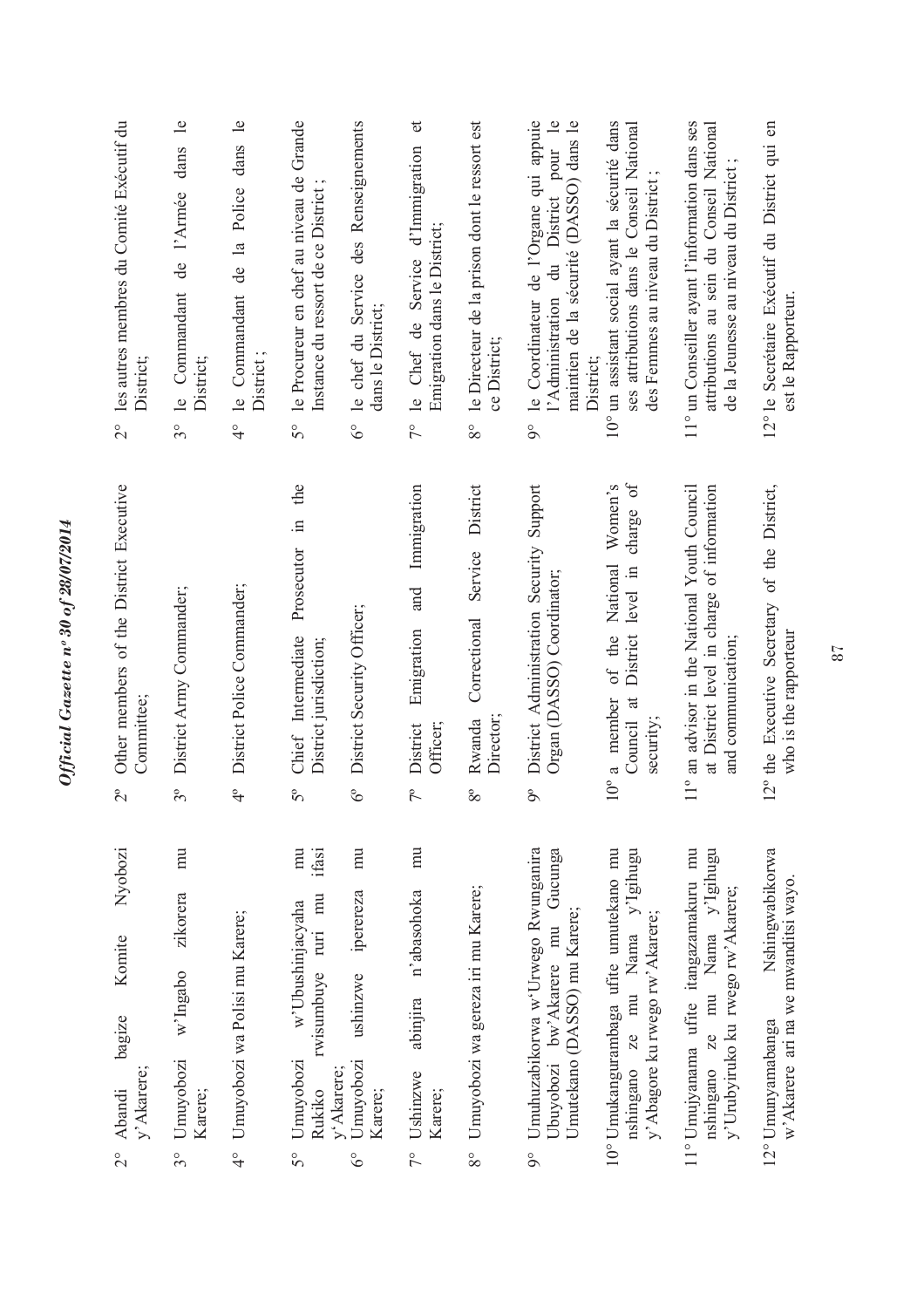| les autres membres du Comité Exécutif du<br>District;<br>$\overline{C}$<br>Other members of the District Executive<br>Committee; | de l'Armée dans<br>le Commandant<br>District;<br>$3^{\circ}$<br>District Army Commander; | 4° le Commandant de la Police dans le<br>District;<br>District Police Commander; | le Procureur en chef au niveau de Grande<br>Instance du ressort de ce District<br>50<br>the<br>Prosecutor in<br>Chief Intermediate<br>District jurisdiction; | le chef du Service des Renseignements<br>dans le District;<br>$6^\circ$<br>District Security Officer; | 7° le Chef de Service d'Immigration<br>Emigration dans le District;<br>Immigration<br>and<br>Emigration | le Directeur de la prison dont le ressort est<br>ce District;<br>$8^{\circ}$<br>District<br>Service<br>Correctional | le Coordinateur de l'Organe qui appuie<br>l'Administration du District pour le<br>maintien de la sécurité (DASSO) dans le<br>District;<br>$\delta$<br>Support<br>District Administration Security<br>Organ (DASSO) Coordinator; | 10° un assistant social ayant la sécurité dans<br>ses attributions dans le Conseil National<br>des Femmes au niveau du District;<br>charge of<br>Women's<br>National<br>District level in<br>of the<br>$10^{\circ}$ a member<br>Council at | 11° un Conseiller ayant l'information dans ses<br>attributions au sein du Conseil National<br>de la Jeunesse au niveau du District<br>at District level in charge of information<br>11° an advisor in the National Youth Council<br>and communication; | 12° le Secrétaire Exécutif du District qui en<br>est le Rapporteur.<br>12° the Executive Secretary of the District,<br>who is the rapporteur |
|----------------------------------------------------------------------------------------------------------------------------------|------------------------------------------------------------------------------------------|----------------------------------------------------------------------------------|--------------------------------------------------------------------------------------------------------------------------------------------------------------|-------------------------------------------------------------------------------------------------------|---------------------------------------------------------------------------------------------------------|---------------------------------------------------------------------------------------------------------------------|---------------------------------------------------------------------------------------------------------------------------------------------------------------------------------------------------------------------------------|--------------------------------------------------------------------------------------------------------------------------------------------------------------------------------------------------------------------------------------------|--------------------------------------------------------------------------------------------------------------------------------------------------------------------------------------------------------------------------------------------------------|----------------------------------------------------------------------------------------------------------------------------------------------|
|                                                                                                                                  |                                                                                          |                                                                                  |                                                                                                                                                              |                                                                                                       | Officer;<br>District                                                                                    | Director;<br>Rwanda                                                                                                 |                                                                                                                                                                                                                                 | security;                                                                                                                                                                                                                                  |                                                                                                                                                                                                                                                        |                                                                                                                                              |
| $2^{\circ}$                                                                                                                      | $3^{\circ}$                                                                              | $\ddot{ }$                                                                       | $5^{\circ}$                                                                                                                                                  | $6^{\circ}$                                                                                           | $7^{\circ}$                                                                                             | $8^{\circ}$                                                                                                         | $\delta$                                                                                                                                                                                                                        |                                                                                                                                                                                                                                            |                                                                                                                                                                                                                                                        |                                                                                                                                              |
| Nyobozi<br>Komite<br>bagize<br>y' Akarere;<br>Abandi<br>$\overline{C}$                                                           | mu<br>zikorera<br>w'Ingabo<br>Umuyobozi<br>Karere;<br>$3^{\circ}$                        | Umuyobozi wa Polisi mu Karere;<br>$\frac{1}{4}$                                  | $\overline{m}$<br>ifasi<br>rwisumbuye ruri mu<br>w'Ubushinjacyaha<br>Umuyobozi<br>y'Akarere;<br>Rukiko<br>50                                                 | $\overline{m}$<br>iperereza<br>ushinzwe<br>Umuyobozi<br>Karere;<br>$6^\circ$                          | mu<br>n'abasohoka<br>abinjira<br>Ushinzwe<br>Karere;<br>$\frac{1}{2}$                                   | Umuyobozi wa gereza iri mu Karere;<br>$8^{\circ}$                                                                   | Umuhuzabikorwa w'Urwego Rwunganira<br>Gucunga<br>Umutekano (DASSO) mu Karere;<br>bw'Akarere mu<br>Ubuyobozi<br>$\circ$                                                                                                          | 10° Umukangurambaga ufite umutekano mu<br>nshingano ze mu Nama y'Igihugu<br>y'Abagore ku rwego rw'Akarere;                                                                                                                                 | 11° Umujyanama ufite itangazamakuru mu<br>ze mu Nama y'Igihugu<br>y'Urubyiruko ku rwego rw'Akarere;<br>nshingano                                                                                                                                       | Nshingwabikorwa<br>w'Akarere ari na we mwanditsi wayo.<br>12° Umunyamabanga                                                                  |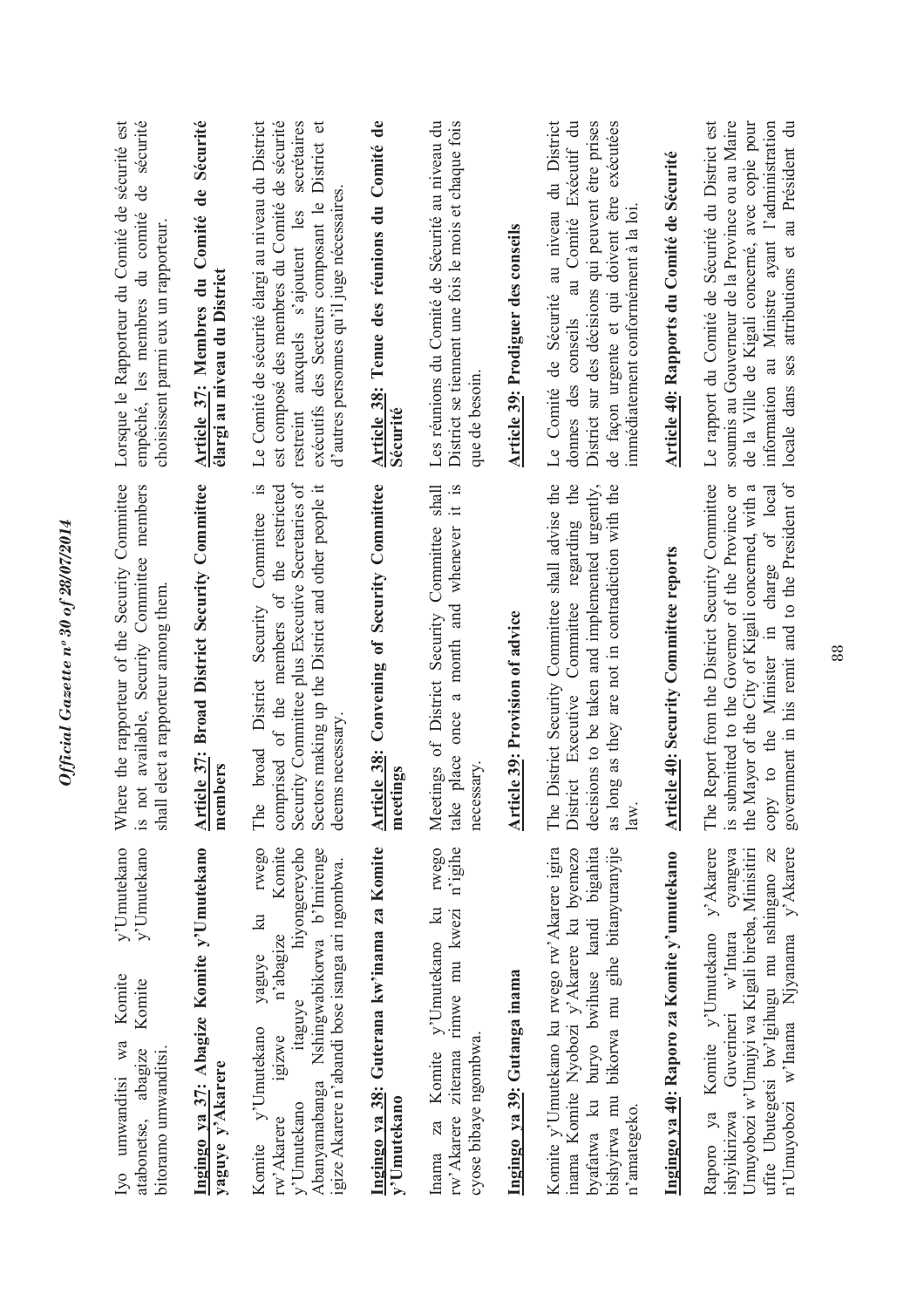| Lorsque le Rapporteur du Comité de sécurité est<br>sécurité<br>de<br>empêché, les membres du comité<br>choisissent parmi eux un rapporteur.                      | Article 37: Membres du Comité de Sécurité<br>élargi au niveau du District | Le Comité de sécurité élargi au niveau du District<br>est composé des membres du Comité de sécurité<br>restreint auxquels s'ajoutent les secrétaires<br>exécutifs des Secteurs composant le District et<br>d'autres personnes qu'il juge nécessaires.            | Article 38: Tenue des réunions du Comité de<br>Sécurité        | District se tiennent une fois le mois et chaque fois<br>Les réunions du Comité de Sécurité au niveau du<br>que de besoin. | Article 39: Prodiguer des conseils | Le Comité de Sécurité au niveau du District<br>District sur des décisions qui peuvent être prises<br>donnes des conseils au Comité Exécutif du<br>de façon urgente et qui doivent être exécutées<br>immédiatement conformément à la loi. | Article 40: Rapports du Comité de Sécurité    | Le rapport du Comité de Sécurité du District est<br>soumis au Gouverneur de la Province ou au Maire<br>de la Ville de Kigali concerné, avec copie pour<br>information au Ministre ayant l'administration<br>locale dans ses attributions et au Président du                   |
|------------------------------------------------------------------------------------------------------------------------------------------------------------------|---------------------------------------------------------------------------|------------------------------------------------------------------------------------------------------------------------------------------------------------------------------------------------------------------------------------------------------------------|----------------------------------------------------------------|---------------------------------------------------------------------------------------------------------------------------|------------------------------------|------------------------------------------------------------------------------------------------------------------------------------------------------------------------------------------------------------------------------------------|-----------------------------------------------|-------------------------------------------------------------------------------------------------------------------------------------------------------------------------------------------------------------------------------------------------------------------------------|
| here the rapporteur of the Security Committee<br>not available, Security Committee members<br>shall elect a rapporteur among them.<br>$\geqslant$<br>$\tilde{S}$ | <b>Article 37: Broad District Security Committee</b><br>members           | Security Committee plus Executive Secretaries of<br>Committee is<br>comprised of the members of the restricted<br>Sectors making up the District and other people it<br>District Security<br>deems necessary.<br>broad<br>$\ddot{\mathbf{e}}$<br>È               | <b>Article 38: Convening of Security Committee</b><br>meetings | it is<br>shall<br>Meetings of District Security Committee<br>whenever<br>once a month and<br>take place<br>necessary      | Article 39: Provision of advice    | e District Security Committee shall advise the<br>District Executive Committee regarding the<br>as long as they are not in contradiction with the<br>decisions to be taken and implemented urgently,<br>È<br>$\frac{a}{b}$               | <b>Article 40: Security Committee reports</b> | e Report from the District Security Committee<br>government in his remit and to the President of<br>the Mayor of the City of Kigali concerned, with a<br>copy to the Minister in charge of local<br>submitted to the Governor of the Province or<br>É<br>$\tilde{\mathbf{S}}$ |
| y'Umutekano<br>y'Umutekano<br>Komite<br>Komite<br>Ivo umwanditsi wa<br>abagize<br>bitoramo umwanditsi.<br>atabonetse,                                            | Ingingo ya 37: Abagize Komite y'Umutekano<br>yaguye y'Akarere             | <b>TWego</b><br>Komite<br>Abanyamabanga Nshingwabikorwa b'Imirenge<br>hiyongereyeho<br>igize Akarere n'abandi bose isanga ari ngombwa.<br>$\overline{\mathbf{z}}$<br>n'abagize<br>yaguye<br>itaguye<br>Komite y'Umutekano<br>1g1ZWe<br>v'Umutekano<br>rw'Akarere | Ingingo ya 38: Guterana kw'inama za Komite<br>y'Umutekano      | rwego<br>n'igihe<br>rw'Akarere ziterana rimwe mu kwezi<br>Komite y'Umutekano ku<br>cyose bibaye ngombwa.<br>Inama za      | Ingingo ya 39: Gutanga inama       | Komite y'Umutekano ku rwego rw'Akarere igira<br>bikorwa mu gihe bitanyuranyije<br>byafatwa ku buryo bwihuse kandi bigahita<br>inama Komite Nyobozi y'Akarere ku byemezo<br>bishyirwa mu<br>n'amategeko.                                  | Ingingo ya 40: Raporo za Komite y'umutekano   | y'Akarere<br>ufite Ubutegetsi bw'lgihugu mu nshingano ze<br>n'Umuyobozi w'Inama Njyanama y'Akarere<br>cyangwa<br>Umuyobozi w'Umujyi wa Kigali bireba, Minisitiri<br>Komite y'Umutekano<br>Guverineri w'Intara<br>Raporo ya<br>ishyikirizwa                                    |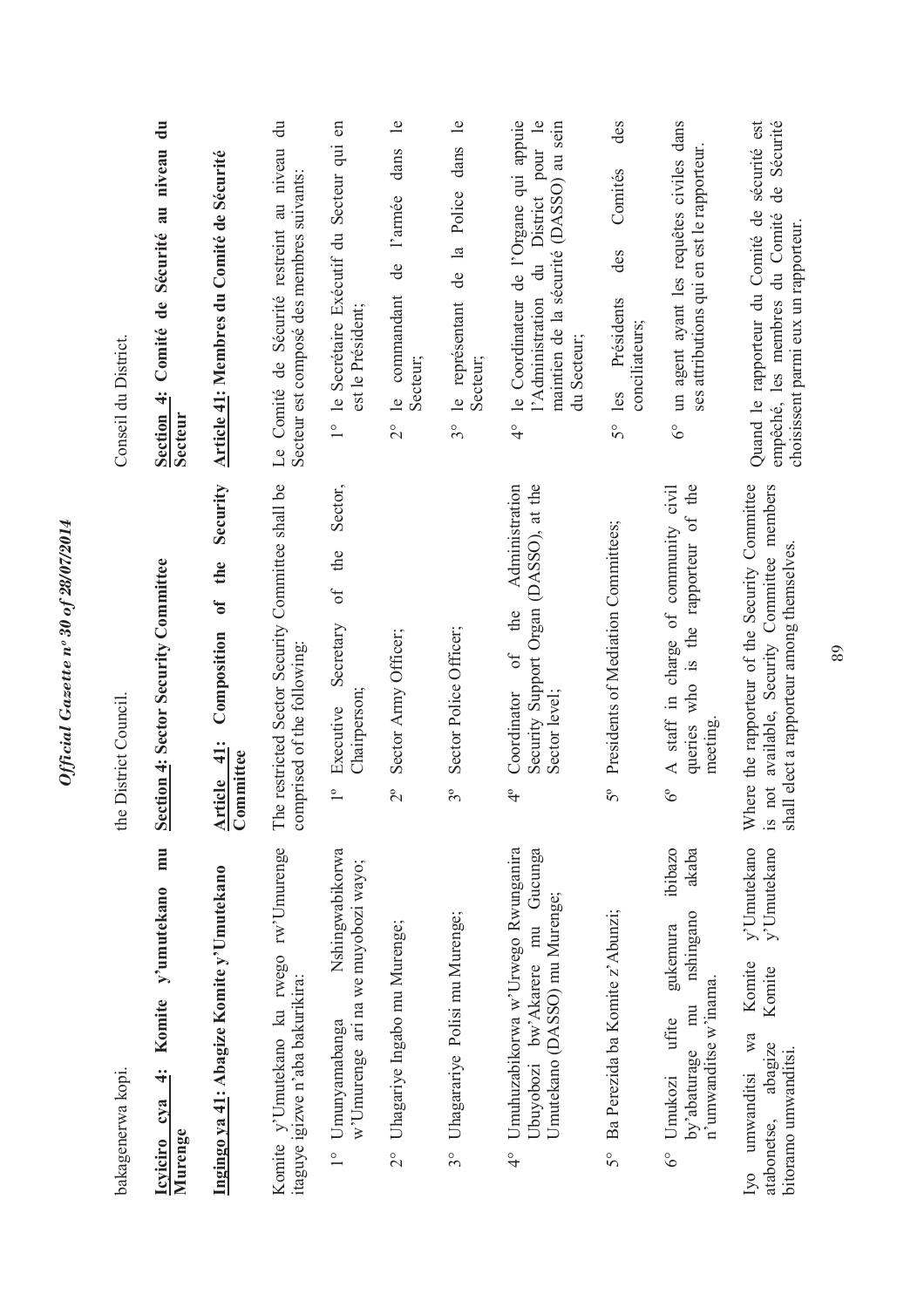| bakagenerwa kopi.                                                                                                                       | District Council.<br>the                                                                                                                                 | Conseil du District.                                                                                                                                         |
|-----------------------------------------------------------------------------------------------------------------------------------------|----------------------------------------------------------------------------------------------------------------------------------------------------------|--------------------------------------------------------------------------------------------------------------------------------------------------------------|
| mu<br>y'umutekano<br>Komite<br>$\ddot{+}$<br>cya<br>Murenge<br>Icyiciro                                                                 | <b>Section 4: Sector Security Committee</b>                                                                                                              | Section 4: Comité de Sécurité au niveau du<br><b>Secteur</b>                                                                                                 |
| Ingingo ya 41: Abagize Komite y'Umutekano                                                                                               | Security<br>the<br>$\mathfrak{h}$<br>Composition<br>$\ddot{=}$<br>Committee<br><b>Article</b>                                                            | Article 41: Membres du Comité de Sécurité                                                                                                                    |
| Komite y'Umutekano ku rwego rw'Umurenge<br>itaguye igizwe n'aba bakurikira:                                                             | e restricted Sector Security Committee shall be<br>comprised of the following:<br>Ê                                                                      | Le Comité de Sécurité restreint au niveau du<br>Secteur est composé des membres suivants:                                                                    |
| Nshingwabikorwa<br>w'Umurenge ari na we muyobozi wayo;<br>1° Umunyamabanga                                                              | Sector,<br>the<br>$\circ f$<br>Secretary<br>Chairperson;<br>Executive<br>$\overline{1}^{\circ}$                                                          | le Secrétaire Exécutif du Secteur qui en<br>est le Président;<br>$\frac{1}{1}$                                                                               |
| Uhagariye Ingabo mu Murenge;<br>$\frac{1}{2}$                                                                                           | Sector Army Officer;<br>$2^{\circ}$                                                                                                                      | $\mathbf{e}$<br>dans<br>l'armée<br>de<br>le commandant<br>Secteur;<br>$\frac{1}{2}$                                                                          |
| Uhagarariye Polisi mu Murenge;<br>$3^{\circ}$                                                                                           | Sector Police Officer;<br>$3^{\circ}$                                                                                                                    | le représentant de la Police dans le<br>Secteur;<br>$3^{\circ}$                                                                                              |
| Umuhuzabikorwa w'Urwego Rwunganira<br>Gucunga<br>Umutekano (DASSO) mu Murenge;<br>bw'Akarere mu<br>Ubuyobozi<br>$\frac{1}{4}$           | Security Support Organ (DASSO), at the<br>Administration<br>the<br>of<br>Sector level;<br>Coordinator<br>$\frac{1}{4}$                                   | le Coordinateur de l'Organe qui appuie<br>pour le<br>maintien de la sécurité (DASSO) au sein<br>l'Administration du District<br>du Secteur;<br>$\frac{1}{4}$ |
| Ba Perezida ba Komite z'Abunzi;<br>$5^{\circ}$                                                                                          | Presidents of Mediation Committees;<br>50                                                                                                                | des<br>Comités<br>des<br>Présidents<br>conciliateurs;<br>les<br>$5^{\circ}$                                                                                  |
| ibibazo<br>akaba<br>nshingano<br>gukemura<br>n'umwanditse w'inama.<br>mu<br>ufite<br>by'abaturage<br>Umukozi<br>$6^\circ$               | of the<br>A staff in charge of community civil<br>queries who is the rapporteur<br>meeting<br>$6^{\circ}$                                                | un agent ayant les requêtes civiles dans<br>ses attributions qui en est le rapporteur.<br>$\delta^{\circ}$                                                   |
| y'Umutekano<br>y'Umutekano<br>Komite<br>Komite<br>wa<br>abagize<br>bitoramo umwanditsi<br>umwanditsi<br>atabonetse,<br>I <sub>V</sub> O | Where the rapporteur of the Security Committee<br>not available, Security Committee members<br>shall elect a rapporteur among themselves.<br>$\tilde{S}$ | Quand le rapporteur du Comité de sécurité est<br>Sécurité<br>de<br>empêché, les membres du Comité<br>choisissent parmi eux un rapporteur.                    |

Official Gazette nº 30 of 28/07/2014 *Official Gazette nᵒ 30 of 28/07/2014*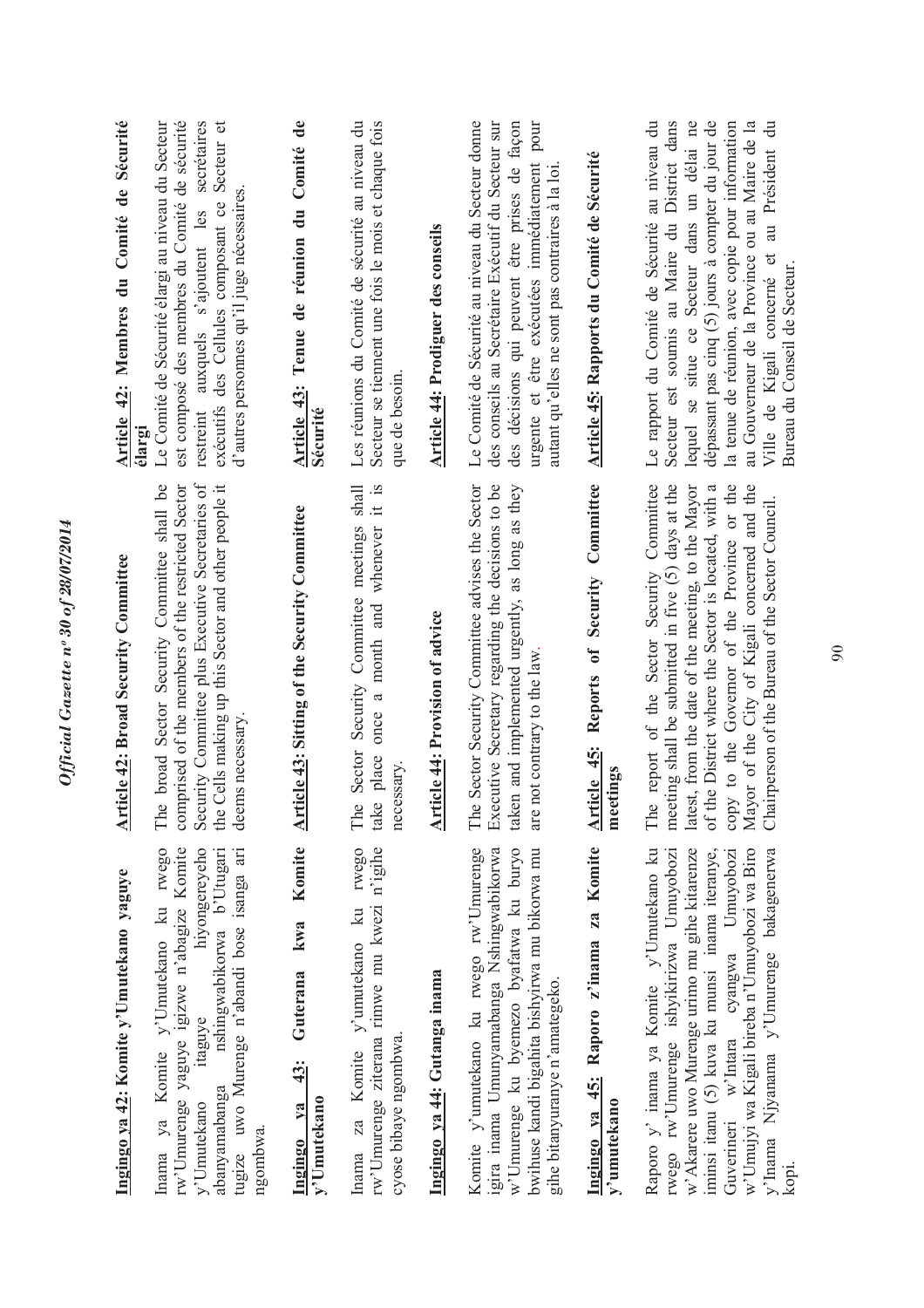| Ingingo ya 42: Komite y'Umutekano yaguye                                                                                                                                                                                                                                                                                               | <b>Article 42: Broad Security Committee</b>                                                                                                                                                                                                                                                                                                                           | Article 42: Membres du Comité de Sécurité<br>élargi                                                                                                                                                                                                                                                                                                                                                                        |
|----------------------------------------------------------------------------------------------------------------------------------------------------------------------------------------------------------------------------------------------------------------------------------------------------------------------------------------|-----------------------------------------------------------------------------------------------------------------------------------------------------------------------------------------------------------------------------------------------------------------------------------------------------------------------------------------------------------------------|----------------------------------------------------------------------------------------------------------------------------------------------------------------------------------------------------------------------------------------------------------------------------------------------------------------------------------------------------------------------------------------------------------------------------|
| Inama ya Komite y'Umutekano ku rwego<br>rw'Umurenge yaguye igizwe n'abagize Komite<br>tugize uwo Murenge n'abandi bose isanga ari<br>hiyongereyeho<br>nshingwabikorwa b'Utugari<br>itaguye<br>abanyamabanga<br>y'Umutekano<br>ngombwa.                                                                                                 | Security Committee plus Executive Secretaries of<br>broad Sector Security Committee shall be<br>comprised of the members of the restricted Sector<br>the Cells making up this Sector and other people it<br>deems necessary.<br>The                                                                                                                                   | est composé des membres du Comité de sécurité<br>secrétaires<br>Secteur et<br>Le Comité de Sécurité élargi au niveau du Secteur<br>d'autres personnes qu'il juge nécessaires.<br>exécutifs des Cellules composant ce<br>restreint auxquels s'ajoutent les                                                                                                                                                                  |
| Komite<br>kwa<br>Guterana<br>43:<br>y'Umutekano<br>Ingingo ya                                                                                                                                                                                                                                                                          | <b>Article 43: Sitting of the Security Committee</b>                                                                                                                                                                                                                                                                                                                  | $\mathbf{d}\mathbf{e}$<br>Article 43: Tenue de réunion du Comité<br>Sécurité                                                                                                                                                                                                                                                                                                                                               |
| rw'Umurenge ziterana rimwe mu kwezi n'igihe<br>rwego<br>Inama za Komite y'umutekano ku<br>cyose bibaye ngombwa.                                                                                                                                                                                                                        | Security Committee meetings shall<br>a month and whenever it is<br>once<br>Sector<br>place<br>necessary.<br>The<br>take                                                                                                                                                                                                                                               | Les réunions du Comité de sécurité au niveau du<br>Secteur se tiennent une fois le mois et chaque fois<br>que de besoin.                                                                                                                                                                                                                                                                                                   |
| Ingingo ya 44: Gutanga inama                                                                                                                                                                                                                                                                                                           | <b>Article 44: Provision of advice</b>                                                                                                                                                                                                                                                                                                                                | <b>Article 44: Prodiguer des conseils</b>                                                                                                                                                                                                                                                                                                                                                                                  |
| Komite y'umutekano ku rwego rw'Umurenge<br>w'Umurenge ku byemezo byafatwa ku buryo<br>gira inama Umunyamabanga Nshingwabikorwa<br>bwihuse kandi bigahita bishyirwa mu bikorwa mu<br>gihe bitanyuranye n'amategeko.                                                                                                                     | Sector Security Committee advises the Sector<br>Executive Secretary regarding the decisions to be<br>taken and implemented urgently, as long as they<br>are not contrary to the law.<br>The                                                                                                                                                                           | Le Comité de Sécurité au niveau du Secteur donne<br>des conseils au Secrétaire Exécutif du Secteur sur<br>des décisions qui peuvent être prises de façon<br>urgente et être exécutées immédiatement pour<br>autant qu'elles ne sont pas contraires à la loi                                                                                                                                                                |
| Ingingo ya 45: Raporo z'inama za Komite<br>y'umutekano                                                                                                                                                                                                                                                                                 | Committee<br>Security<br>$\mathfrak{b}$<br>Reports<br>Article 45:<br>meetings                                                                                                                                                                                                                                                                                         | Article 45: Rapports du Comité de Sécurité                                                                                                                                                                                                                                                                                                                                                                                 |
| Raporo y' inama ya Komite y'Umutekano ku<br>w' Akarere uwo Murenge urimo mu gihe kitarenze<br>iminsi itanu (5) kuva ku munsi inama iteranye,<br>w'Umujyi wa Kigali bireba n'Umuyobozi wa Biro<br>rwego rw'Umurenge ishyikirizwa Umuyobozi<br>Guverineri w'Intara cyangwa Umuyobozi<br>y'Inama Njyanama y'Umurenge bakagenerwa<br>kopi. | report of the Sector Security Committee<br>meeting shall be submitted in five (5) days at the<br>latest, from the date of the meeting, to the Mayor<br>copy to the Governor of the Province or the<br>Mayor of the City of Kigali concerned and the<br>of the District where the Sector is located, with a<br>Chairperson of the Bureau of the Sector Council.<br>The | Le rapport du Comité de Sécurité au niveau du<br>lequel se situe ce Secteur dans un délai ne<br>dépassant pas cinq (5) jours à compter du jour de<br>Secteur est soumis au Maire du District dans<br>la tenue de réunion, avec copie pour information<br>au Gouverneur de la Province ou au Maire de la<br>$\ddot{\vec{a}}$<br>au Président<br>$\mathfrak{S}$<br>Bureau du Conseil de Secteur.<br>Ville de Kigali concerné |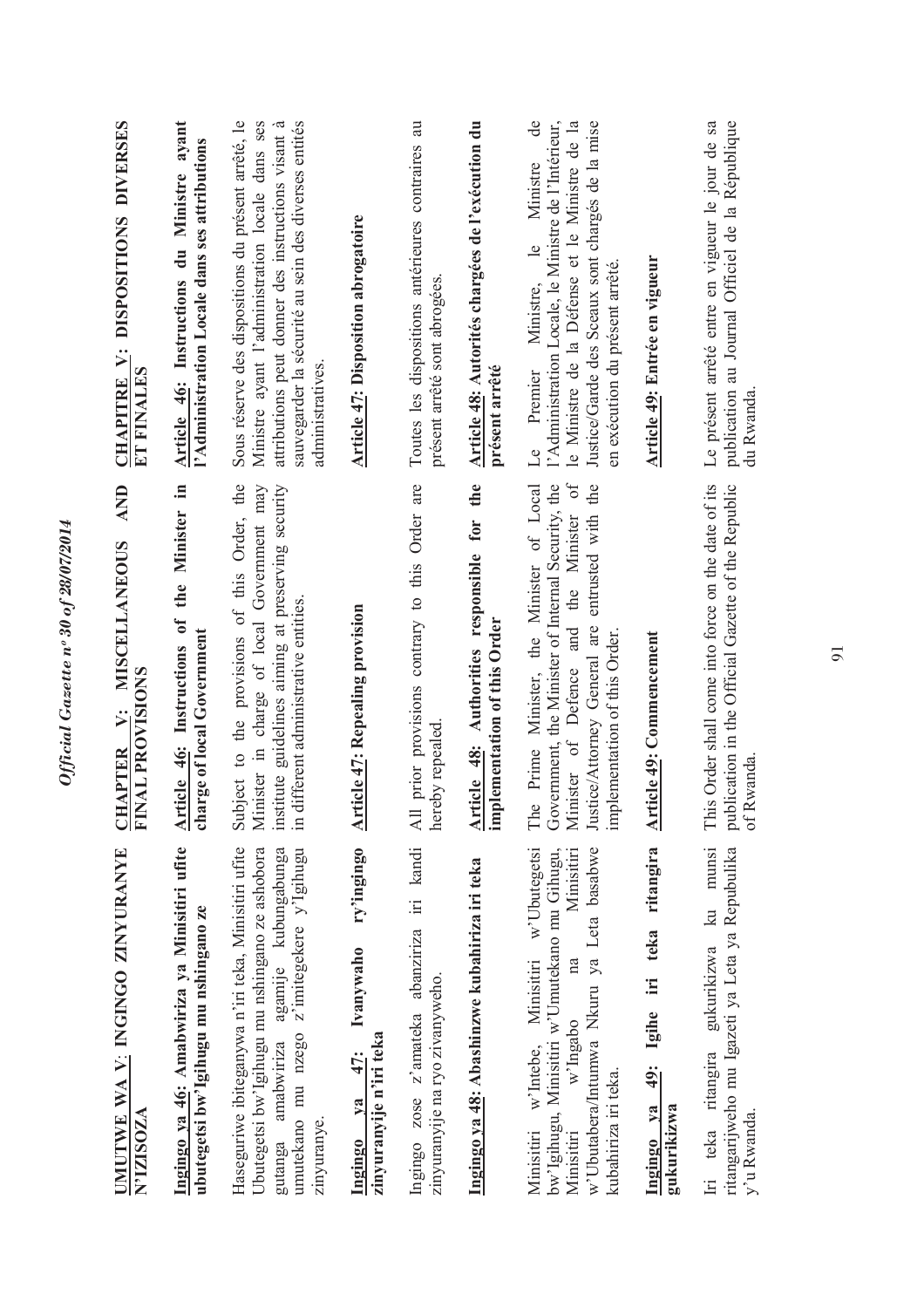| UMUTWE WA V: INGINGO ZINYURANYE<br><b>N'IZISOZA</b>                                                                                                                                                                    | AND<br><b>MISCELLANEOUS</b><br><b>FINAL PROVISIONS</b><br>Ÿ:<br><b>APTER</b><br>FU                                                                                                                                                  | DISPOSITIONS DIVERSES<br><b>CHAPITRE V:</b><br>ET FINALES                                                                                                                                                                                                             |
|------------------------------------------------------------------------------------------------------------------------------------------------------------------------------------------------------------------------|-------------------------------------------------------------------------------------------------------------------------------------------------------------------------------------------------------------------------------------|-----------------------------------------------------------------------------------------------------------------------------------------------------------------------------------------------------------------------------------------------------------------------|
| Ingingo ya 46: Amabwiriza ya Minisitiri ufite<br>ubutegetsi bw'lgihugu mu nshingano ze                                                                                                                                 | the Minister in<br>Article 46: Instructions of<br>charge of local Government                                                                                                                                                        | Article 46: Instructions du Ministre ayant<br>l'Administration Locale dans ses attributions                                                                                                                                                                           |
| Haseguriwe ibiteganywa n'iri teka, Minisitiri ufite<br>Ubutegetsi bw'Igihugu mu nshingano ze ashobora<br>agamije kubungabunga<br>z'imitegekere y'Igihugu<br>umutekano mu nzego<br>amabwiriza<br>zinyuranye.<br>gutanga | Subject to the provisions of this Order, the<br>Minister in charge of local Government may<br>institute guidelines aiming at preserving security<br>in different administrative entities.                                           | Sous réserve des dispositions du présent arrêté, le<br>sauvegarder la sécurité au sein des diverses entités<br>Ministre ayant l'administration locale dans ses<br>attributions peut donner des instructions visant à<br>administratives.                              |
| ry'ingingo<br>Ivanywaho<br>zinyuranyije n'iri teka<br>47:<br>$1$<br>Ingingo                                                                                                                                            | <b>Article 47: Repealing provision</b>                                                                                                                                                                                              | <b>Article 47: Disposition abrogatoire</b>                                                                                                                                                                                                                            |
| Ingingo zose z'amateka abanziriza iri kandi<br>zinyuranyije na ryo zivanyweho.                                                                                                                                         | prior provisions contrary to this Order are<br>hereby repealed<br>$\overline{AB}$                                                                                                                                                   | Toutes les dispositions antérieures contraires au<br>présent arrêté sont abrogées                                                                                                                                                                                     |
| Ingingo ya 48: Abashinzwe kubahiriza iri teka                                                                                                                                                                          | the<br>Article 48: Authorities responsible for<br>implementation of this Order                                                                                                                                                      | Article 48: Autorités chargées de l'exécution du<br>présent arrêté                                                                                                                                                                                                    |
| Minisitiri w'Ubutegetsi<br>w'Ubutabera/Intumwa Nkuru ya Leta basabwe<br>Minisitiri<br>bw'Igihugu, Minisitiri w'Umutekano mu Gihugu,<br>na<br>w'Ingabo<br>w'Intebe,<br>kubahiriza iri teka.<br>Minisitiri<br>Minisitiri | Minister of Defence and the Minister of<br>Government, the Minister of Internal Security, the<br>Prime Minister, the Minister of Local<br>entrusted with the<br>Justice/Attorney General are<br>implementation of this Order<br>The | $\rm{de}$<br>Justice/Garde des Sceaux sont chargés de la mise<br>l'Administration Locale, le Ministre de l'Intérieur,<br>le Ministre de la Défense et le Ministre de la<br>Ministre<br>$\frac{1}{2}$<br>en exécution du présent arrêté.<br>Ministre,<br>Premier<br>Le |
| 49: Igihe iri teka ritangira<br>Ingingo ya<br>gukurikizwa                                                                                                                                                              | Article 49: Commencement                                                                                                                                                                                                            | Article 49: Entrée en vigueur                                                                                                                                                                                                                                         |
| munsi<br>ritangarijweho mu Igazeti ya Leta ya Repubulika<br>$\overline{\mathbf{a}}$<br>gukurikizwa<br>Iri teka ritangira<br>y'u Rwanda                                                                                 | This Order shall come into force on the date of its<br>publication in the Official Gazette of the Republic<br>of Rwanda                                                                                                             | Le présent arrêté entre en vigueur le jour de sa<br>publication au Journal Officiel de la République<br>du Rwanda                                                                                                                                                     |